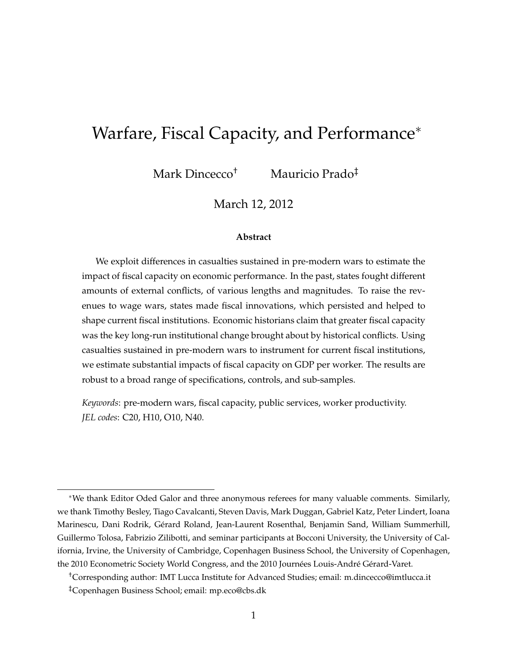# Warfare, Fiscal Capacity, and Performance<sup>∗</sup>

Mark Dincecco† Mauricio Prado‡

March 12, 2012

#### **Abstract**

We exploit differences in casualties sustained in pre-modern wars to estimate the impact of fiscal capacity on economic performance. In the past, states fought different amounts of external conflicts, of various lengths and magnitudes. To raise the revenues to wage wars, states made fiscal innovations, which persisted and helped to shape current fiscal institutions. Economic historians claim that greater fiscal capacity was the key long-run institutional change brought about by historical conflicts. Using casualties sustained in pre-modern wars to instrument for current fiscal institutions, we estimate substantial impacts of fiscal capacity on GDP per worker. The results are robust to a broad range of specifications, controls, and sub-samples.

*Keywords*: pre-modern wars, fiscal capacity, public services, worker productivity. *JEL codes*: C20, H10, O10, N40.

<sup>∗</sup>We thank Editor Oded Galor and three anonymous referees for many valuable comments. Similarly, we thank Timothy Besley, Tiago Cavalcanti, Steven Davis, Mark Duggan, Gabriel Katz, Peter Lindert, Ioana Marinescu, Dani Rodrik, Gerard Roland, Jean-Laurent Rosenthal, Benjamin Sand, William Summerhill, ´ Guillermo Tolosa, Fabrizio Zilibotti, and seminar participants at Bocconi University, the University of California, Irvine, the University of Cambridge, Copenhagen Business School, the University of Copenhagen, the 2010 Econometric Society World Congress, and the 2010 Journées Louis-André Gérard-Varet.

<sup>†</sup>Corresponding author: IMT Lucca Institute for Advanced Studies; email: m.dincecco@imtlucca.it ‡Copenhagen Business School; email: mp.eco@cbs.dk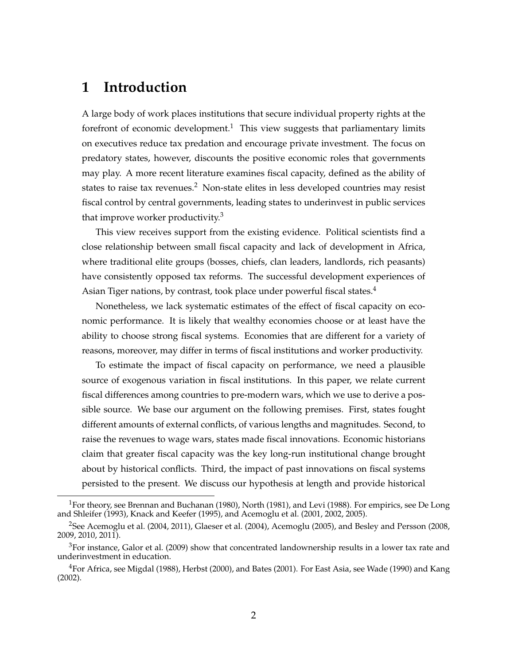## **1 Introduction**

A large body of work places institutions that secure individual property rights at the forefront of economic development.<sup>1</sup> This view suggests that parliamentary limits on executives reduce tax predation and encourage private investment. The focus on predatory states, however, discounts the positive economic roles that governments may play. A more recent literature examines fiscal capacity, defined as the ability of states to raise tax revenues.<sup>2</sup> Non-state elites in less developed countries may resist fiscal control by central governments, leading states to underinvest in public services that improve worker productivity. $3$ 

This view receives support from the existing evidence. Political scientists find a close relationship between small fiscal capacity and lack of development in Africa, where traditional elite groups (bosses, chiefs, clan leaders, landlords, rich peasants) have consistently opposed tax reforms. The successful development experiences of Asian Tiger nations, by contrast, took place under powerful fiscal states.<sup>4</sup>

Nonetheless, we lack systematic estimates of the effect of fiscal capacity on economic performance. It is likely that wealthy economies choose or at least have the ability to choose strong fiscal systems. Economies that are different for a variety of reasons, moreover, may differ in terms of fiscal institutions and worker productivity.

To estimate the impact of fiscal capacity on performance, we need a plausible source of exogenous variation in fiscal institutions. In this paper, we relate current fiscal differences among countries to pre-modern wars, which we use to derive a possible source. We base our argument on the following premises. First, states fought different amounts of external conflicts, of various lengths and magnitudes. Second, to raise the revenues to wage wars, states made fiscal innovations. Economic historians claim that greater fiscal capacity was the key long-run institutional change brought about by historical conflicts. Third, the impact of past innovations on fiscal systems persisted to the present. We discuss our hypothesis at length and provide historical

<sup>&</sup>lt;sup>1</sup> For theory, see Brennan and Buchanan (1980), North (1981), and Levi (1988). For empirics, see De Long and Shleifer (1993), Knack and Keefer (1995), and Acemoglu et al. (2001, 2002, 2005).

<sup>&</sup>lt;sup>2</sup>See Acemoglu et al. (2004, 2011), Glaeser et al. (2004), Acemoglu (2005), and Besley and Persson (2008, 2009, 2010, 2011).

 $3$ For instance, Galor et al. (2009) show that concentrated landownership results in a lower tax rate and underinvestment in education.

<sup>4</sup>For Africa, see Migdal (1988), Herbst (2000), and Bates (2001). For East Asia, see Wade (1990) and Kang (2002).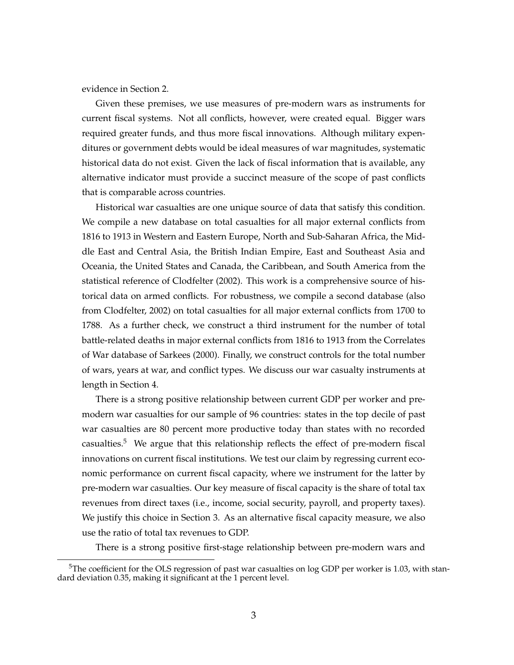evidence in Section 2.

Given these premises, we use measures of pre-modern wars as instruments for current fiscal systems. Not all conflicts, however, were created equal. Bigger wars required greater funds, and thus more fiscal innovations. Although military expenditures or government debts would be ideal measures of war magnitudes, systematic historical data do not exist. Given the lack of fiscal information that is available, any alternative indicator must provide a succinct measure of the scope of past conflicts that is comparable across countries.

Historical war casualties are one unique source of data that satisfy this condition. We compile a new database on total casualties for all major external conflicts from 1816 to 1913 in Western and Eastern Europe, North and Sub-Saharan Africa, the Middle East and Central Asia, the British Indian Empire, East and Southeast Asia and Oceania, the United States and Canada, the Caribbean, and South America from the statistical reference of Clodfelter (2002). This work is a comprehensive source of historical data on armed conflicts. For robustness, we compile a second database (also from Clodfelter, 2002) on total casualties for all major external conflicts from 1700 to 1788. As a further check, we construct a third instrument for the number of total battle-related deaths in major external conflicts from 1816 to 1913 from the Correlates of War database of Sarkees (2000). Finally, we construct controls for the total number of wars, years at war, and conflict types. We discuss our war casualty instruments at length in Section 4.

There is a strong positive relationship between current GDP per worker and premodern war casualties for our sample of 96 countries: states in the top decile of past war casualties are 80 percent more productive today than states with no recorded casualties.<sup>5</sup> We argue that this relationship reflects the effect of pre-modern fiscal innovations on current fiscal institutions. We test our claim by regressing current economic performance on current fiscal capacity, where we instrument for the latter by pre-modern war casualties. Our key measure of fiscal capacity is the share of total tax revenues from direct taxes (i.e., income, social security, payroll, and property taxes). We justify this choice in Section 3. As an alternative fiscal capacity measure, we also use the ratio of total tax revenues to GDP.

There is a strong positive first-stage relationship between pre-modern wars and

 $5$ The coefficient for the OLS regression of past war casualties on log GDP per worker is 1.03, with standard deviation 0.35, making it significant at the 1 percent level.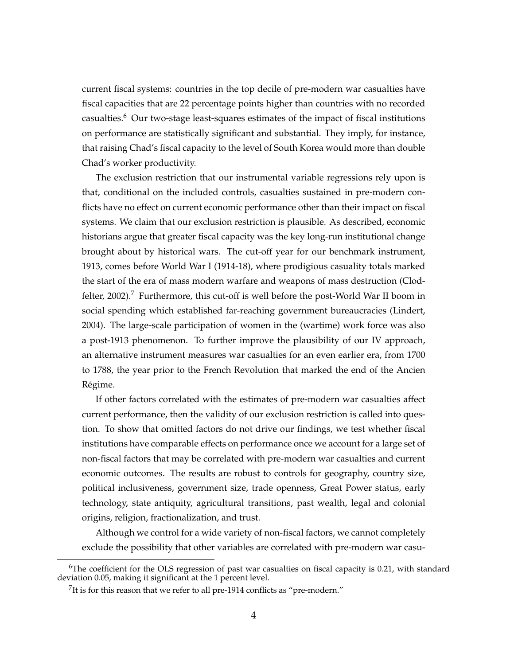current fiscal systems: countries in the top decile of pre-modern war casualties have fiscal capacities that are 22 percentage points higher than countries with no recorded casualties.<sup>6</sup> Our two-stage least-squares estimates of the impact of fiscal institutions on performance are statistically significant and substantial. They imply, for instance, that raising Chad's fiscal capacity to the level of South Korea would more than double Chad's worker productivity.

The exclusion restriction that our instrumental variable regressions rely upon is that, conditional on the included controls, casualties sustained in pre-modern conflicts have no effect on current economic performance other than their impact on fiscal systems. We claim that our exclusion restriction is plausible. As described, economic historians argue that greater fiscal capacity was the key long-run institutional change brought about by historical wars. The cut-off year for our benchmark instrument, 1913, comes before World War I (1914-18), where prodigious casuality totals marked the start of the era of mass modern warfare and weapons of mass destruction (Clodfelter,  $2002$ ).<sup>7</sup> Furthermore, this cut-off is well before the post-World War II boom in social spending which established far-reaching government bureaucracies (Lindert, 2004). The large-scale participation of women in the (wartime) work force was also a post-1913 phenomenon. To further improve the plausibility of our IV approach, an alternative instrument measures war casualties for an even earlier era, from 1700 to 1788, the year prior to the French Revolution that marked the end of the Ancien Régime.

If other factors correlated with the estimates of pre-modern war casualties affect current performance, then the validity of our exclusion restriction is called into question. To show that omitted factors do not drive our findings, we test whether fiscal institutions have comparable effects on performance once we account for a large set of non-fiscal factors that may be correlated with pre-modern war casualties and current economic outcomes. The results are robust to controls for geography, country size, political inclusiveness, government size, trade openness, Great Power status, early technology, state antiquity, agricultural transitions, past wealth, legal and colonial origins, religion, fractionalization, and trust.

Although we control for a wide variety of non-fiscal factors, we cannot completely exclude the possibility that other variables are correlated with pre-modern war casu-

 $6$ The coefficient for the OLS regression of past war casualties on fiscal capacity is 0.21, with standard deviation 0.05, making it significant at the 1 percent level.

 $^{7}$ It is for this reason that we refer to all pre-1914 conflicts as "pre-modern."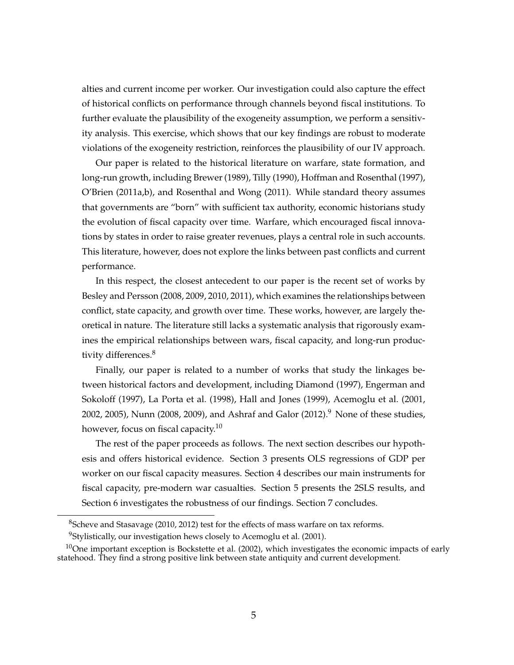alties and current income per worker. Our investigation could also capture the effect of historical conflicts on performance through channels beyond fiscal institutions. To further evaluate the plausibility of the exogeneity assumption, we perform a sensitivity analysis. This exercise, which shows that our key findings are robust to moderate violations of the exogeneity restriction, reinforces the plausibility of our IV approach.

Our paper is related to the historical literature on warfare, state formation, and long-run growth, including Brewer (1989), Tilly (1990), Hoffman and Rosenthal (1997), O'Brien (2011a,b), and Rosenthal and Wong (2011). While standard theory assumes that governments are "born" with sufficient tax authority, economic historians study the evolution of fiscal capacity over time. Warfare, which encouraged fiscal innovations by states in order to raise greater revenues, plays a central role in such accounts. This literature, however, does not explore the links between past conflicts and current performance.

In this respect, the closest antecedent to our paper is the recent set of works by Besley and Persson (2008, 2009, 2010, 2011), which examines the relationships between conflict, state capacity, and growth over time. These works, however, are largely theoretical in nature. The literature still lacks a systematic analysis that rigorously examines the empirical relationships between wars, fiscal capacity, and long-run productivity differences.<sup>8</sup>

Finally, our paper is related to a number of works that study the linkages between historical factors and development, including Diamond (1997), Engerman and Sokoloff (1997), La Porta et al. (1998), Hall and Jones (1999), Acemoglu et al. (2001, 2002, 2005), Nunn (2008, 2009), and Ashraf and Galor (2012).<sup>9</sup> None of these studies, however, focus on fiscal capacity.<sup>10</sup>

The rest of the paper proceeds as follows. The next section describes our hypothesis and offers historical evidence. Section 3 presents OLS regressions of GDP per worker on our fiscal capacity measures. Section 4 describes our main instruments for fiscal capacity, pre-modern war casualties. Section 5 presents the 2SLS results, and Section 6 investigates the robustness of our findings. Section 7 concludes.

 ${}^{8}$ Scheve and Stasavage (2010, 2012) test for the effects of mass warfare on tax reforms.

<sup>&</sup>lt;sup>9</sup>Stylistically, our investigation hews closely to Acemoglu et al.  $(2001)$ .

 $10$ One important exception is Bockstette et al. (2002), which investigates the economic impacts of early statehood. They find a strong positive link between state antiquity and current development.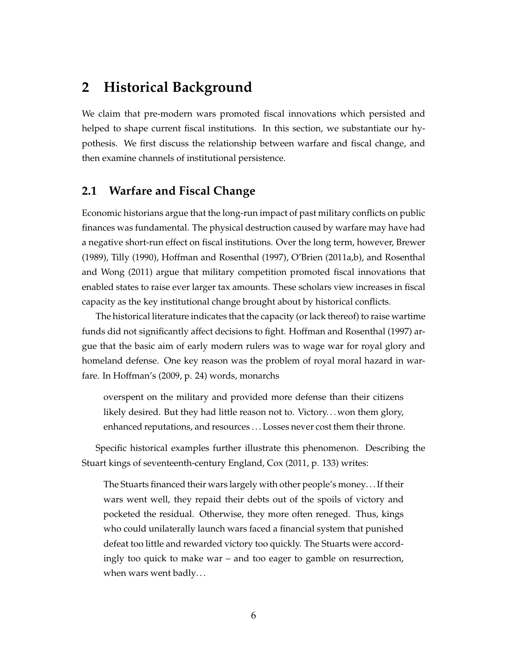### **2 Historical Background**

We claim that pre-modern wars promoted fiscal innovations which persisted and helped to shape current fiscal institutions. In this section, we substantiate our hypothesis. We first discuss the relationship between warfare and fiscal change, and then examine channels of institutional persistence.

### **2.1 Warfare and Fiscal Change**

Economic historians argue that the long-run impact of past military conflicts on public finances was fundamental. The physical destruction caused by warfare may have had a negative short-run effect on fiscal institutions. Over the long term, however, Brewer (1989), Tilly (1990), Hoffman and Rosenthal (1997), O'Brien (2011a,b), and Rosenthal and Wong (2011) argue that military competition promoted fiscal innovations that enabled states to raise ever larger tax amounts. These scholars view increases in fiscal capacity as the key institutional change brought about by historical conflicts.

The historical literature indicates that the capacity (or lack thereof) to raise wartime funds did not significantly affect decisions to fight. Hoffman and Rosenthal (1997) argue that the basic aim of early modern rulers was to wage war for royal glory and homeland defense. One key reason was the problem of royal moral hazard in warfare. In Hoffman's (2009, p. 24) words, monarchs

overspent on the military and provided more defense than their citizens likely desired. But they had little reason not to. Victory. . . won them glory, enhanced reputations, and resources . . . Losses never cost them their throne.

Specific historical examples further illustrate this phenomenon. Describing the Stuart kings of seventeenth-century England, Cox (2011, p. 133) writes:

The Stuarts financed their wars largely with other people's money. . . If their wars went well, they repaid their debts out of the spoils of victory and pocketed the residual. Otherwise, they more often reneged. Thus, kings who could unilaterally launch wars faced a financial system that punished defeat too little and rewarded victory too quickly. The Stuarts were accordingly too quick to make war – and too eager to gamble on resurrection, when wars went badly. . .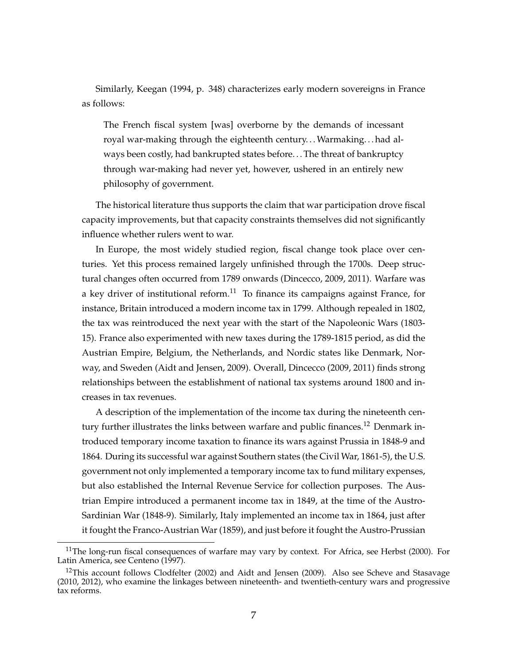Similarly, Keegan (1994, p. 348) characterizes early modern sovereigns in France as follows:

The French fiscal system [was] overborne by the demands of incessant royal war-making through the eighteenth century. . .Warmaking. . . had always been costly, had bankrupted states before. . . The threat of bankruptcy through war-making had never yet, however, ushered in an entirely new philosophy of government.

The historical literature thus supports the claim that war participation drove fiscal capacity improvements, but that capacity constraints themselves did not significantly influence whether rulers went to war.

In Europe, the most widely studied region, fiscal change took place over centuries. Yet this process remained largely unfinished through the 1700s. Deep structural changes often occurred from 1789 onwards (Dincecco, 2009, 2011). Warfare was a key driver of institutional reform.<sup>11</sup> To finance its campaigns against France, for instance, Britain introduced a modern income tax in 1799. Although repealed in 1802, the tax was reintroduced the next year with the start of the Napoleonic Wars (1803- 15). France also experimented with new taxes during the 1789-1815 period, as did the Austrian Empire, Belgium, the Netherlands, and Nordic states like Denmark, Norway, and Sweden (Aidt and Jensen, 2009). Overall, Dincecco (2009, 2011) finds strong relationships between the establishment of national tax systems around 1800 and increases in tax revenues.

A description of the implementation of the income tax during the nineteenth century further illustrates the links between warfare and public finances.<sup>12</sup> Denmark introduced temporary income taxation to finance its wars against Prussia in 1848-9 and 1864. During its successful war against Southern states (the Civil War, 1861-5), the U.S. government not only implemented a temporary income tax to fund military expenses, but also established the Internal Revenue Service for collection purposes. The Austrian Empire introduced a permanent income tax in 1849, at the time of the Austro-Sardinian War (1848-9). Similarly, Italy implemented an income tax in 1864, just after it fought the Franco-Austrian War (1859), and just before it fought the Austro-Prussian

 $11$ The long-run fiscal consequences of warfare may vary by context. For Africa, see Herbst (2000). For Latin America, see Centeno (1997).

 $12$ This account follows Clodfelter (2002) and Aidt and Jensen (2009). Also see Scheve and Stasavage (2010, 2012), who examine the linkages between nineteenth- and twentieth-century wars and progressive tax reforms.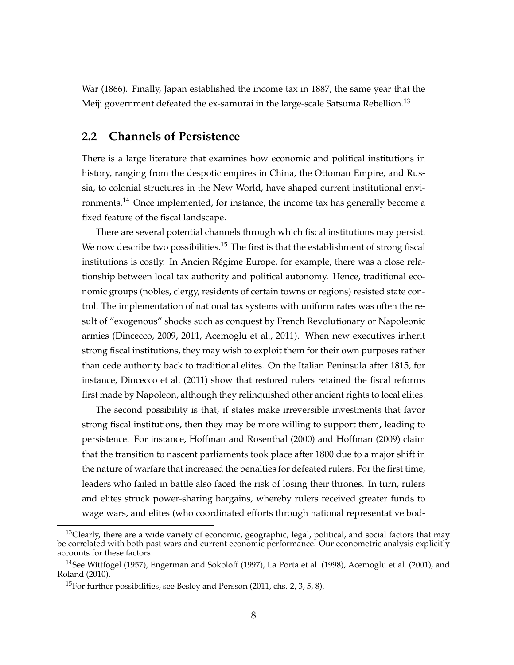War (1866). Finally, Japan established the income tax in 1887, the same year that the Meiji government defeated the ex-samurai in the large-scale Satsuma Rebellion.<sup>13</sup>

#### **2.2 Channels of Persistence**

There is a large literature that examines how economic and political institutions in history, ranging from the despotic empires in China, the Ottoman Empire, and Russia, to colonial structures in the New World, have shaped current institutional environments.<sup>14</sup> Once implemented, for instance, the income tax has generally become a fixed feature of the fiscal landscape.

There are several potential channels through which fiscal institutions may persist. We now describe two possibilities.<sup>15</sup> The first is that the establishment of strong fiscal institutions is costly. In Ancien Regime Europe, for example, there was a close rela- ´ tionship between local tax authority and political autonomy. Hence, traditional economic groups (nobles, clergy, residents of certain towns or regions) resisted state control. The implementation of national tax systems with uniform rates was often the result of "exogenous" shocks such as conquest by French Revolutionary or Napoleonic armies (Dincecco, 2009, 2011, Acemoglu et al., 2011). When new executives inherit strong fiscal institutions, they may wish to exploit them for their own purposes rather than cede authority back to traditional elites. On the Italian Peninsula after 1815, for instance, Dincecco et al. (2011) show that restored rulers retained the fiscal reforms first made by Napoleon, although they relinquished other ancient rights to local elites.

The second possibility is that, if states make irreversible investments that favor strong fiscal institutions, then they may be more willing to support them, leading to persistence. For instance, Hoffman and Rosenthal (2000) and Hoffman (2009) claim that the transition to nascent parliaments took place after 1800 due to a major shift in the nature of warfare that increased the penalties for defeated rulers. For the first time, leaders who failed in battle also faced the risk of losing their thrones. In turn, rulers and elites struck power-sharing bargains, whereby rulers received greater funds to wage wars, and elites (who coordinated efforts through national representative bod-

 $13$ Clearly, there are a wide variety of economic, geographic, legal, political, and social factors that may be correlated with both past wars and current economic performance. Our econometric analysis explicitly accounts for these factors.

<sup>&</sup>lt;sup>14</sup>See Wittfogel (1957), Engerman and Sokoloff (1997), La Porta et al. (1998), Acemoglu et al. (2001), and Roland (2010).

<sup>&</sup>lt;sup>15</sup>For further possibilities, see Besley and Persson (2011, chs. 2, 3, 5, 8).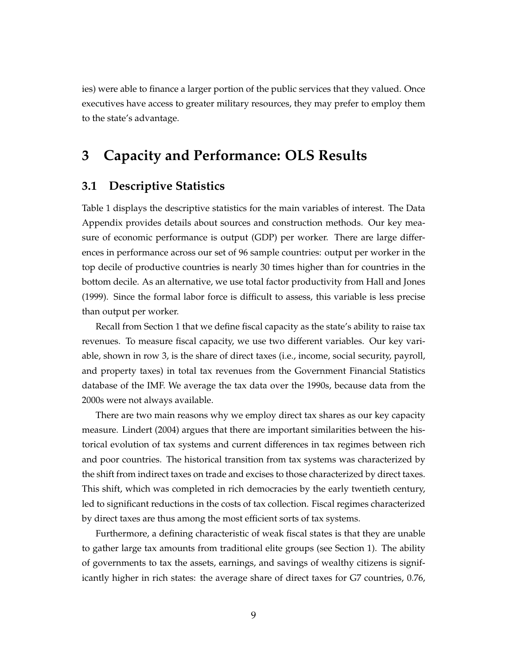ies) were able to finance a larger portion of the public services that they valued. Once executives have access to greater military resources, they may prefer to employ them to the state's advantage.

## **3 Capacity and Performance: OLS Results**

### **3.1 Descriptive Statistics**

Table 1 displays the descriptive statistics for the main variables of interest. The Data Appendix provides details about sources and construction methods. Our key measure of economic performance is output (GDP) per worker. There are large differences in performance across our set of 96 sample countries: output per worker in the top decile of productive countries is nearly 30 times higher than for countries in the bottom decile. As an alternative, we use total factor productivity from Hall and Jones (1999). Since the formal labor force is difficult to assess, this variable is less precise than output per worker.

Recall from Section 1 that we define fiscal capacity as the state's ability to raise tax revenues. To measure fiscal capacity, we use two different variables. Our key variable, shown in row 3, is the share of direct taxes (i.e., income, social security, payroll, and property taxes) in total tax revenues from the Government Financial Statistics database of the IMF. We average the tax data over the 1990s, because data from the 2000s were not always available.

There are two main reasons why we employ direct tax shares as our key capacity measure. Lindert (2004) argues that there are important similarities between the historical evolution of tax systems and current differences in tax regimes between rich and poor countries. The historical transition from tax systems was characterized by the shift from indirect taxes on trade and excises to those characterized by direct taxes. This shift, which was completed in rich democracies by the early twentieth century, led to significant reductions in the costs of tax collection. Fiscal regimes characterized by direct taxes are thus among the most efficient sorts of tax systems.

Furthermore, a defining characteristic of weak fiscal states is that they are unable to gather large tax amounts from traditional elite groups (see Section 1). The ability of governments to tax the assets, earnings, and savings of wealthy citizens is significantly higher in rich states: the average share of direct taxes for G7 countries, 0.76,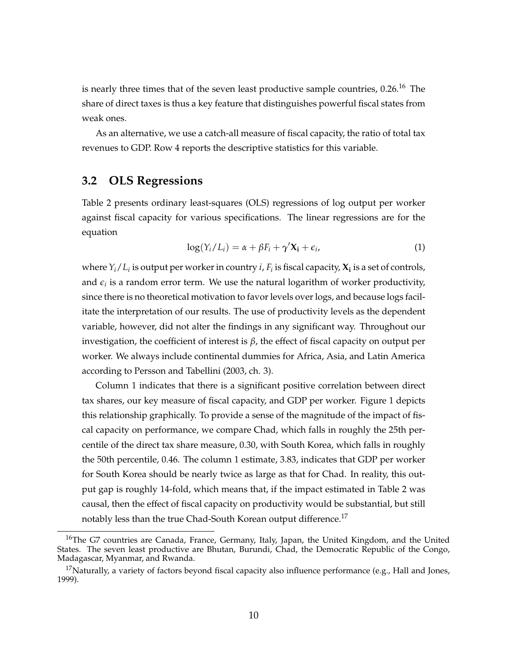is nearly three times that of the seven least productive sample countries,  $0.26$ .<sup>16</sup> The share of direct taxes is thus a key feature that distinguishes powerful fiscal states from weak ones.

As an alternative, we use a catch-all measure of fiscal capacity, the ratio of total tax revenues to GDP. Row 4 reports the descriptive statistics for this variable.

#### **3.2 OLS Regressions**

Table 2 presents ordinary least-squares (OLS) regressions of log output per worker against fiscal capacity for various specifications. The linear regressions are for the equation

$$
\log(Y_i/L_i) = \alpha + \beta F_i + \gamma' \mathbf{X_i} + \epsilon_i,
$$
\n(1)

where  $Y_i/L_i$  is output per worker in country  $i$ ,  $F_i$  is fiscal capacity,  $\mathbf{X_i}$  is a set of controls, and  $\epsilon_i$  is a random error term. We use the natural logarithm of worker productivity, since there is no theoretical motivation to favor levels over logs, and because logs facilitate the interpretation of our results. The use of productivity levels as the dependent variable, however, did not alter the findings in any significant way. Throughout our investigation, the coefficient of interest is *β*, the effect of fiscal capacity on output per worker. We always include continental dummies for Africa, Asia, and Latin America according to Persson and Tabellini (2003, ch. 3).

Column 1 indicates that there is a significant positive correlation between direct tax shares, our key measure of fiscal capacity, and GDP per worker. Figure 1 depicts this relationship graphically. To provide a sense of the magnitude of the impact of fiscal capacity on performance, we compare Chad, which falls in roughly the 25th percentile of the direct tax share measure, 0.30, with South Korea, which falls in roughly the 50th percentile, 0.46. The column 1 estimate, 3.83, indicates that GDP per worker for South Korea should be nearly twice as large as that for Chad. In reality, this output gap is roughly 14-fold, which means that, if the impact estimated in Table 2 was causal, then the effect of fiscal capacity on productivity would be substantial, but still notably less than the true Chad-South Korean output difference.<sup>17</sup>

<sup>&</sup>lt;sup>16</sup>The G7 countries are Canada, France, Germany, Italy, Japan, the United Kingdom, and the United States. The seven least productive are Bhutan, Burundi, Chad, the Democratic Republic of the Congo, Madagascar, Myanmar, and Rwanda.

<sup>&</sup>lt;sup>17</sup>Naturally, a variety of factors beyond fiscal capacity also influence performance (e.g., Hall and Jones, 1999).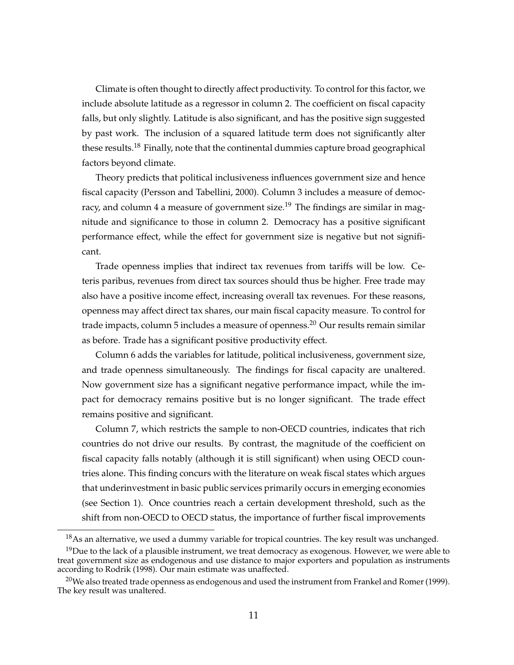Climate is often thought to directly affect productivity. To control for this factor, we include absolute latitude as a regressor in column 2. The coefficient on fiscal capacity falls, but only slightly. Latitude is also significant, and has the positive sign suggested by past work. The inclusion of a squared latitude term does not significantly alter these results.<sup>18</sup> Finally, note that the continental dummies capture broad geographical factors beyond climate.

Theory predicts that political inclusiveness influences government size and hence fiscal capacity (Persson and Tabellini, 2000). Column 3 includes a measure of democracy, and column 4 a measure of government size.<sup>19</sup> The findings are similar in magnitude and significance to those in column 2. Democracy has a positive significant performance effect, while the effect for government size is negative but not significant.

Trade openness implies that indirect tax revenues from tariffs will be low. Ceteris paribus, revenues from direct tax sources should thus be higher. Free trade may also have a positive income effect, increasing overall tax revenues. For these reasons, openness may affect direct tax shares, our main fiscal capacity measure. To control for trade impacts, column 5 includes a measure of openness.<sup>20</sup> Our results remain similar as before. Trade has a significant positive productivity effect.

Column 6 adds the variables for latitude, political inclusiveness, government size, and trade openness simultaneously. The findings for fiscal capacity are unaltered. Now government size has a significant negative performance impact, while the impact for democracy remains positive but is no longer significant. The trade effect remains positive and significant.

Column 7, which restricts the sample to non-OECD countries, indicates that rich countries do not drive our results. By contrast, the magnitude of the coefficient on fiscal capacity falls notably (although it is still significant) when using OECD countries alone. This finding concurs with the literature on weak fiscal states which argues that underinvestment in basic public services primarily occurs in emerging economies (see Section 1). Once countries reach a certain development threshold, such as the shift from non-OECD to OECD status, the importance of further fiscal improvements

 $18$ As an alternative, we used a dummy variable for tropical countries. The key result was unchanged.

 $19$ Due to the lack of a plausible instrument, we treat democracy as exogenous. However, we were able to treat government size as endogenous and use distance to major exporters and population as instruments according to Rodrik (1998). Our main estimate was unaffected.

 $20$ We also treated trade openness as endogenous and used the instrument from Frankel and Romer (1999). The key result was unaltered.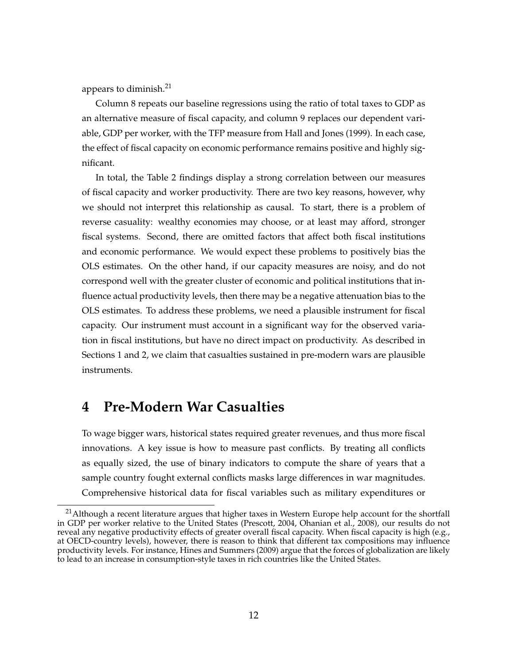appears to diminish. $^{21}$ 

Column 8 repeats our baseline regressions using the ratio of total taxes to GDP as an alternative measure of fiscal capacity, and column 9 replaces our dependent variable, GDP per worker, with the TFP measure from Hall and Jones (1999). In each case, the effect of fiscal capacity on economic performance remains positive and highly significant.

In total, the Table 2 findings display a strong correlation between our measures of fiscal capacity and worker productivity. There are two key reasons, however, why we should not interpret this relationship as causal. To start, there is a problem of reverse casuality: wealthy economies may choose, or at least may afford, stronger fiscal systems. Second, there are omitted factors that affect both fiscal institutions and economic performance. We would expect these problems to positively bias the OLS estimates. On the other hand, if our capacity measures are noisy, and do not correspond well with the greater cluster of economic and political institutions that influence actual productivity levels, then there may be a negative attenuation bias to the OLS estimates. To address these problems, we need a plausible instrument for fiscal capacity. Our instrument must account in a significant way for the observed variation in fiscal institutions, but have no direct impact on productivity. As described in Sections 1 and 2, we claim that casualties sustained in pre-modern wars are plausible instruments.

### **4 Pre-Modern War Casualties**

To wage bigger wars, historical states required greater revenues, and thus more fiscal innovations. A key issue is how to measure past conflicts. By treating all conflicts as equally sized, the use of binary indicators to compute the share of years that a sample country fought external conflicts masks large differences in war magnitudes. Comprehensive historical data for fiscal variables such as military expenditures or

<sup>&</sup>lt;sup>21</sup> Although a recent literature argues that higher taxes in Western Europe help account for the shortfall in GDP per worker relative to the United States (Prescott, 2004, Ohanian et al., 2008), our results do not reveal any negative productivity effects of greater overall fiscal capacity. When fiscal capacity is high (e.g., at OECD-country levels), however, there is reason to think that different tax compositions may influence productivity levels. For instance, Hines and Summers (2009) argue that the forces of globalization are likely to lead to an increase in consumption-style taxes in rich countries like the United States.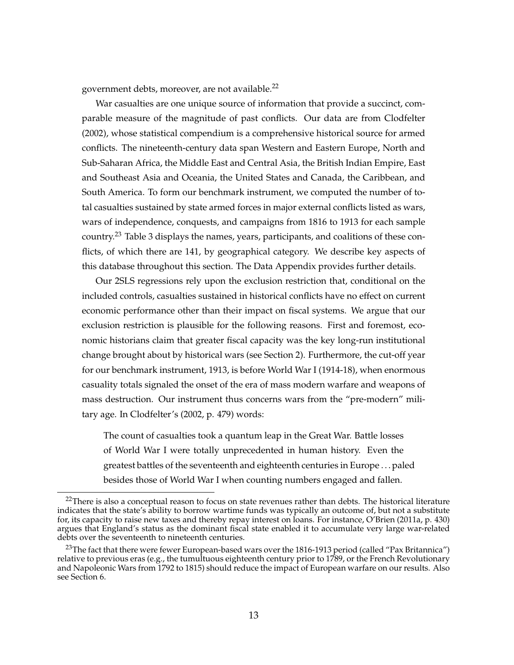government debts, moreover, are not available.<sup>22</sup>

War casualties are one unique source of information that provide a succinct, comparable measure of the magnitude of past conflicts. Our data are from Clodfelter (2002), whose statistical compendium is a comprehensive historical source for armed conflicts. The nineteenth-century data span Western and Eastern Europe, North and Sub-Saharan Africa, the Middle East and Central Asia, the British Indian Empire, East and Southeast Asia and Oceania, the United States and Canada, the Caribbean, and South America. To form our benchmark instrument, we computed the number of total casualties sustained by state armed forces in major external conflicts listed as wars, wars of independence, conquests, and campaigns from 1816 to 1913 for each sample country.<sup>23</sup> Table 3 displays the names, years, participants, and coalitions of these conflicts, of which there are 141, by geographical category. We describe key aspects of this database throughout this section. The Data Appendix provides further details.

Our 2SLS regressions rely upon the exclusion restriction that, conditional on the included controls, casualties sustained in historical conflicts have no effect on current economic performance other than their impact on fiscal systems. We argue that our exclusion restriction is plausible for the following reasons. First and foremost, economic historians claim that greater fiscal capacity was the key long-run institutional change brought about by historical wars (see Section 2). Furthermore, the cut-off year for our benchmark instrument, 1913, is before World War I (1914-18), when enormous casuality totals signaled the onset of the era of mass modern warfare and weapons of mass destruction. Our instrument thus concerns wars from the "pre-modern" military age. In Clodfelter's (2002, p. 479) words:

The count of casualties took a quantum leap in the Great War. Battle losses of World War I were totally unprecedented in human history. Even the greatest battles of the seventeenth and eighteenth centuries in Europe . . . paled besides those of World War I when counting numbers engaged and fallen.

<sup>&</sup>lt;sup>22</sup>There is also a conceptual reason to focus on state revenues rather than debts. The historical literature indicates that the state's ability to borrow wartime funds was typically an outcome of, but not a substitute for, its capacity to raise new taxes and thereby repay interest on loans. For instance, O'Brien (2011a, p. 430) argues that England's status as the dominant fiscal state enabled it to accumulate very large war-related debts over the seventeenth to nineteenth centuries.

 $^{23}$ The fact that there were fewer European-based wars over the 1816-1913 period (called "Pax Britannica") relative to previous eras (e.g., the tumultuous eighteenth century prior to 1789, or the French Revolutionary and Napoleonic Wars from 1792 to 1815) should reduce the impact of European warfare on our results. Also see Section 6.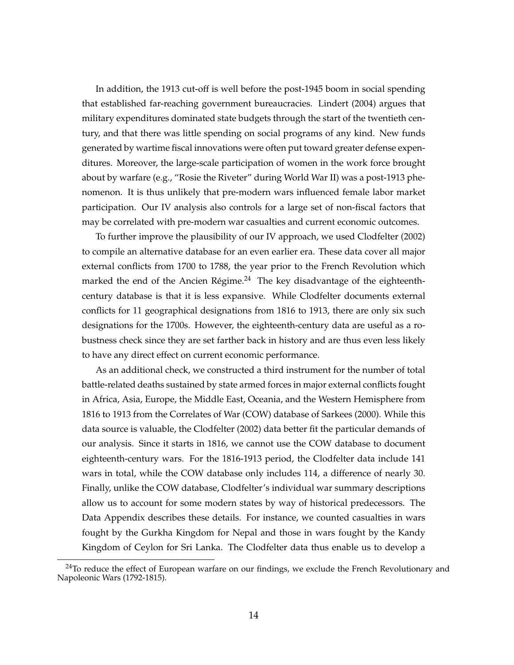In addition, the 1913 cut-off is well before the post-1945 boom in social spending that established far-reaching government bureaucracies. Lindert (2004) argues that military expenditures dominated state budgets through the start of the twentieth century, and that there was little spending on social programs of any kind. New funds generated by wartime fiscal innovations were often put toward greater defense expenditures. Moreover, the large-scale participation of women in the work force brought about by warfare (e.g., "Rosie the Riveter" during World War II) was a post-1913 phenomenon. It is thus unlikely that pre-modern wars influenced female labor market participation. Our IV analysis also controls for a large set of non-fiscal factors that may be correlated with pre-modern war casualties and current economic outcomes.

To further improve the plausibility of our IV approach, we used Clodfelter (2002) to compile an alternative database for an even earlier era. These data cover all major external conflicts from 1700 to 1788, the year prior to the French Revolution which marked the end of the Ancien Régime.<sup>24</sup> The key disadvantage of the eighteenthcentury database is that it is less expansive. While Clodfelter documents external conflicts for 11 geographical designations from 1816 to 1913, there are only six such designations for the 1700s. However, the eighteenth-century data are useful as a robustness check since they are set farther back in history and are thus even less likely to have any direct effect on current economic performance.

As an additional check, we constructed a third instrument for the number of total battle-related deaths sustained by state armed forces in major external conflicts fought in Africa, Asia, Europe, the Middle East, Oceania, and the Western Hemisphere from 1816 to 1913 from the Correlates of War (COW) database of Sarkees (2000). While this data source is valuable, the Clodfelter (2002) data better fit the particular demands of our analysis. Since it starts in 1816, we cannot use the COW database to document eighteenth-century wars. For the 1816-1913 period, the Clodfelter data include 141 wars in total, while the COW database only includes 114, a difference of nearly 30. Finally, unlike the COW database, Clodfelter's individual war summary descriptions allow us to account for some modern states by way of historical predecessors. The Data Appendix describes these details. For instance, we counted casualties in wars fought by the Gurkha Kingdom for Nepal and those in wars fought by the Kandy Kingdom of Ceylon for Sri Lanka. The Clodfelter data thus enable us to develop a

<sup>&</sup>lt;sup>24</sup>To reduce the effect of European warfare on our findings, we exclude the French Revolutionary and Napoleonic Wars (1792-1815).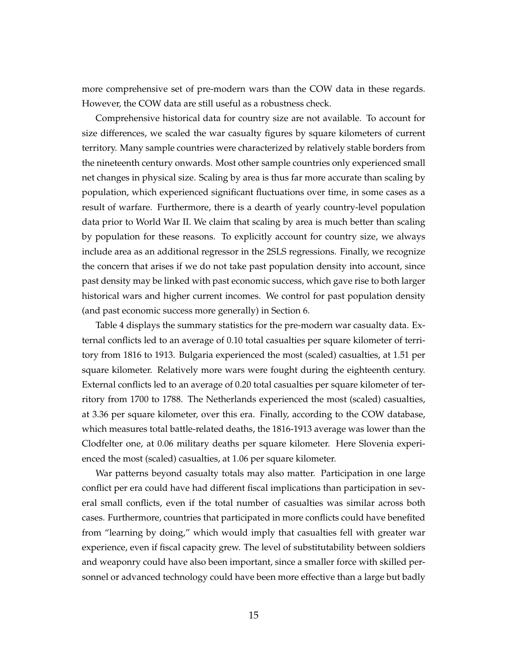more comprehensive set of pre-modern wars than the COW data in these regards. However, the COW data are still useful as a robustness check.

Comprehensive historical data for country size are not available. To account for size differences, we scaled the war casualty figures by square kilometers of current territory. Many sample countries were characterized by relatively stable borders from the nineteenth century onwards. Most other sample countries only experienced small net changes in physical size. Scaling by area is thus far more accurate than scaling by population, which experienced significant fluctuations over time, in some cases as a result of warfare. Furthermore, there is a dearth of yearly country-level population data prior to World War II. We claim that scaling by area is much better than scaling by population for these reasons. To explicitly account for country size, we always include area as an additional regressor in the 2SLS regressions. Finally, we recognize the concern that arises if we do not take past population density into account, since past density may be linked with past economic success, which gave rise to both larger historical wars and higher current incomes. We control for past population density (and past economic success more generally) in Section 6.

Table 4 displays the summary statistics for the pre-modern war casualty data. External conflicts led to an average of 0.10 total casualties per square kilometer of territory from 1816 to 1913. Bulgaria experienced the most (scaled) casualties, at 1.51 per square kilometer. Relatively more wars were fought during the eighteenth century. External conflicts led to an average of 0.20 total casualties per square kilometer of territory from 1700 to 1788. The Netherlands experienced the most (scaled) casualties, at 3.36 per square kilometer, over this era. Finally, according to the COW database, which measures total battle-related deaths, the 1816-1913 average was lower than the Clodfelter one, at 0.06 military deaths per square kilometer. Here Slovenia experienced the most (scaled) casualties, at 1.06 per square kilometer.

War patterns beyond casualty totals may also matter. Participation in one large conflict per era could have had different fiscal implications than participation in several small conflicts, even if the total number of casualties was similar across both cases. Furthermore, countries that participated in more conflicts could have benefited from "learning by doing," which would imply that casualties fell with greater war experience, even if fiscal capacity grew. The level of substitutability between soldiers and weaponry could have also been important, since a smaller force with skilled personnel or advanced technology could have been more effective than a large but badly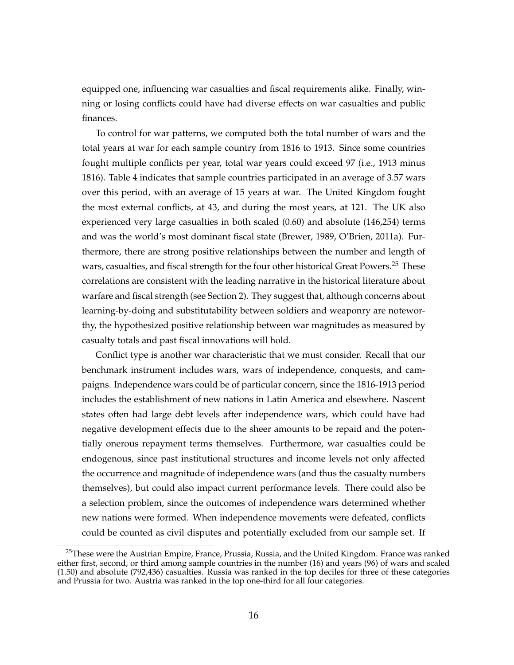equipped one, influencing war casualties and fiscal requirements alike. Finally, winning or losing conflicts could have had diverse effects on war casualties and public finances.

To control for war patterns, we computed both the total number of wars and the total years at war for each sample country from 1816 to 1913. Since some countries fought multiple conflicts per year, total war years could exceed 97 (i.e., 1913 minus 1816). Table 4 indicates that sample countries participated in an average of 3.57 wars over this period, with an average of 15 years at war. The United Kingdom fought the most external conflicts, at 43, and during the most years, at 121. The UK also experienced very large casualties in both scaled (0.60) and absolute (146,254) terms and was the world's most dominant fiscal state (Brewer, 1989, O'Brien, 2011a). Furthermore, there are strong positive relationships between the number and length of wars, casualties, and fiscal strength for the four other historical Great Powers.<sup>25</sup> These correlations are consistent with the leading narrative in the historical literature about warfare and fiscal strength (see Section 2). They suggest that, although concerns about learning-by-doing and substitutability between soldiers and weaponry are noteworthy, the hypothesized positive relationship between war magnitudes as measured by casualty totals and past fiscal innovations will hold.

Conflict type is another war characteristic that we must consider. Recall that our benchmark instrument includes wars, wars of independence, conquests, and campaigns. Independence wars could be of particular concern, since the 1816-1913 period includes the establishment of new nations in Latin America and elsewhere. Nascent states often had large debt levels after independence wars, which could have had negative development effects due to the sheer amounts to be repaid and the potentially onerous repayment terms themselves. Furthermore, war casualties could be endogenous, since past institutional structures and income levels not only affected the occurrence and magnitude of independence wars (and thus the casualty numbers themselves), but could also impact current performance levels. There could also be a selection problem, since the outcomes of independence wars determined whether new nations were formed. When independence movements were defeated, conflicts could be counted as civil disputes and potentially excluded from our sample set. If

<sup>&</sup>lt;sup>25</sup>These were the Austrian Empire, France, Prussia, Russia, and the United Kingdom. France was ranked either first, second, or third among sample countries in the number (16) and years (96) of wars and scaled (1.50) and absolute (792,436) casualties. Russia was ranked in the top deciles for three of these categories and Prussia for two. Austria was ranked in the top one-third for all four categories.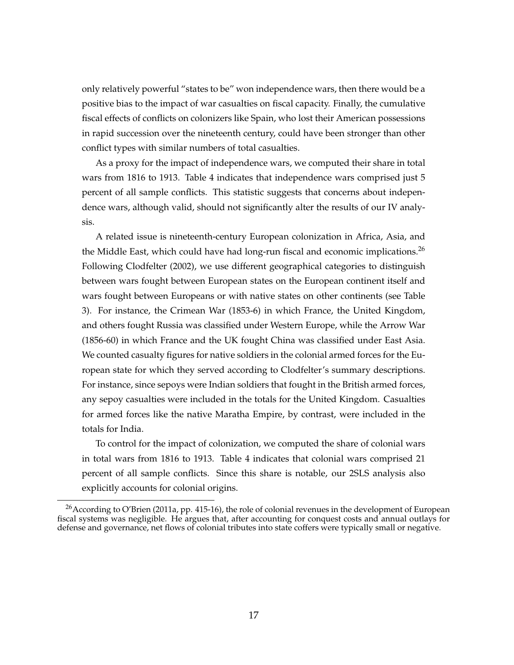only relatively powerful "states to be" won independence wars, then there would be a positive bias to the impact of war casualties on fiscal capacity. Finally, the cumulative fiscal effects of conflicts on colonizers like Spain, who lost their American possessions in rapid succession over the nineteenth century, could have been stronger than other conflict types with similar numbers of total casualties.

As a proxy for the impact of independence wars, we computed their share in total wars from 1816 to 1913. Table 4 indicates that independence wars comprised just 5 percent of all sample conflicts. This statistic suggests that concerns about independence wars, although valid, should not significantly alter the results of our IV analysis.

A related issue is nineteenth-century European colonization in Africa, Asia, and the Middle East, which could have had long-run fiscal and economic implications.<sup>26</sup> Following Clodfelter (2002), we use different geographical categories to distinguish between wars fought between European states on the European continent itself and wars fought between Europeans or with native states on other continents (see Table 3). For instance, the Crimean War (1853-6) in which France, the United Kingdom, and others fought Russia was classified under Western Europe, while the Arrow War (1856-60) in which France and the UK fought China was classified under East Asia. We counted casualty figures for native soldiers in the colonial armed forces for the European state for which they served according to Clodfelter's summary descriptions. For instance, since sepoys were Indian soldiers that fought in the British armed forces, any sepoy casualties were included in the totals for the United Kingdom. Casualties for armed forces like the native Maratha Empire, by contrast, were included in the totals for India.

To control for the impact of colonization, we computed the share of colonial wars in total wars from 1816 to 1913. Table 4 indicates that colonial wars comprised 21 percent of all sample conflicts. Since this share is notable, our 2SLS analysis also explicitly accounts for colonial origins.

<sup>&</sup>lt;sup>26</sup> According to O'Brien (2011a, pp. 415-16), the role of colonial revenues in the development of European fiscal systems was negligible. He argues that, after accounting for conquest costs and annual outlays for defense and governance, net flows of colonial tributes into state coffers were typically small or negative.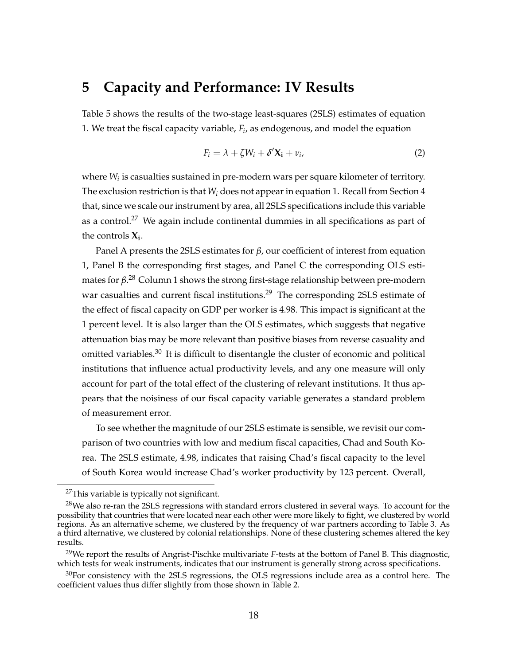### **5 Capacity and Performance: IV Results**

Table 5 shows the results of the two-stage least-squares (2SLS) estimates of equation 1. We treat the fiscal capacity variable, *F<sup>i</sup>* , as endogenous, and model the equation

$$
F_i = \lambda + \zeta W_i + \delta' \mathbf{X_i} + \nu_i, \tag{2}
$$

where *W<sup>i</sup>* is casualties sustained in pre-modern wars per square kilometer of territory. The exclusion restriction is that *W<sup>i</sup>* does not appear in equation 1. Recall from Section 4 that, since we scale our instrument by area, all 2SLS specifications include this variable as a control.<sup>27</sup> We again include continental dummies in all specifications as part of the controls **X<sup>i</sup>** .

Panel A presents the 2SLS estimates for *β*, our coefficient of interest from equation 1, Panel B the corresponding first stages, and Panel C the corresponding OLS estimates for *β*. <sup>28</sup> Column 1 shows the strong first-stage relationship between pre-modern war casualties and current fiscal institutions.<sup>29</sup> The corresponding 2SLS estimate of the effect of fiscal capacity on GDP per worker is 4.98. This impact is significant at the 1 percent level. It is also larger than the OLS estimates, which suggests that negative attenuation bias may be more relevant than positive biases from reverse casuality and omitted variables.<sup>30</sup> It is difficult to disentangle the cluster of economic and political institutions that influence actual productivity levels, and any one measure will only account for part of the total effect of the clustering of relevant institutions. It thus appears that the noisiness of our fiscal capacity variable generates a standard problem of measurement error.

To see whether the magnitude of our 2SLS estimate is sensible, we revisit our comparison of two countries with low and medium fiscal capacities, Chad and South Korea. The 2SLS estimate, 4.98, indicates that raising Chad's fiscal capacity to the level of South Korea would increase Chad's worker productivity by 123 percent. Overall,

<sup>&</sup>lt;sup>27</sup>This variable is typically not significant.

 $28$ We also re-ran the 2SLS regressions with standard errors clustered in several ways. To account for the possibility that countries that were located near each other were more likely to fight, we clustered by world regions. As an alternative scheme, we clustered by the frequency of war partners according to Table 3. As a third alternative, we clustered by colonial relationships. None of these clustering schemes altered the key results.

<sup>29</sup>We report the results of Angrist-Pischke multivariate *F*-tests at the bottom of Panel B. This diagnostic, which tests for weak instruments, indicates that our instrument is generally strong across specifications.

 $30$ For consistency with the 2SLS regressions, the OLS regressions include area as a control here. The coefficient values thus differ slightly from those shown in Table 2.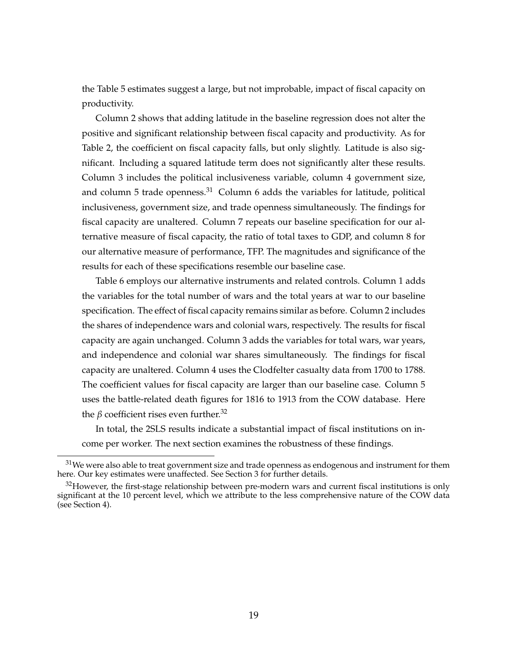the Table 5 estimates suggest a large, but not improbable, impact of fiscal capacity on productivity.

Column 2 shows that adding latitude in the baseline regression does not alter the positive and significant relationship between fiscal capacity and productivity. As for Table 2, the coefficient on fiscal capacity falls, but only slightly. Latitude is also significant. Including a squared latitude term does not significantly alter these results. Column 3 includes the political inclusiveness variable, column 4 government size, and column 5 trade openness. $31$  Column 6 adds the variables for latitude, political inclusiveness, government size, and trade openness simultaneously. The findings for fiscal capacity are unaltered. Column 7 repeats our baseline specification for our alternative measure of fiscal capacity, the ratio of total taxes to GDP, and column 8 for our alternative measure of performance, TFP. The magnitudes and significance of the results for each of these specifications resemble our baseline case.

Table 6 employs our alternative instruments and related controls. Column 1 adds the variables for the total number of wars and the total years at war to our baseline specification. The effect of fiscal capacity remains similar as before. Column 2 includes the shares of independence wars and colonial wars, respectively. The results for fiscal capacity are again unchanged. Column 3 adds the variables for total wars, war years, and independence and colonial war shares simultaneously. The findings for fiscal capacity are unaltered. Column 4 uses the Clodfelter casualty data from 1700 to 1788. The coefficient values for fiscal capacity are larger than our baseline case. Column 5 uses the battle-related death figures for 1816 to 1913 from the COW database. Here the *β* coefficient rises even further.<sup>32</sup>

In total, the 2SLS results indicate a substantial impact of fiscal institutions on income per worker. The next section examines the robustness of these findings.

 $^{31}$ We were also able to treat government size and trade openness as endogenous and instrument for them here. Our key estimates were unaffected. See Section 3 for further details.

 $32$ However, the first-stage relationship between pre-modern wars and current fiscal institutions is only significant at the 10 percent level, which we attribute to the less comprehensive nature of the COW data (see Section 4).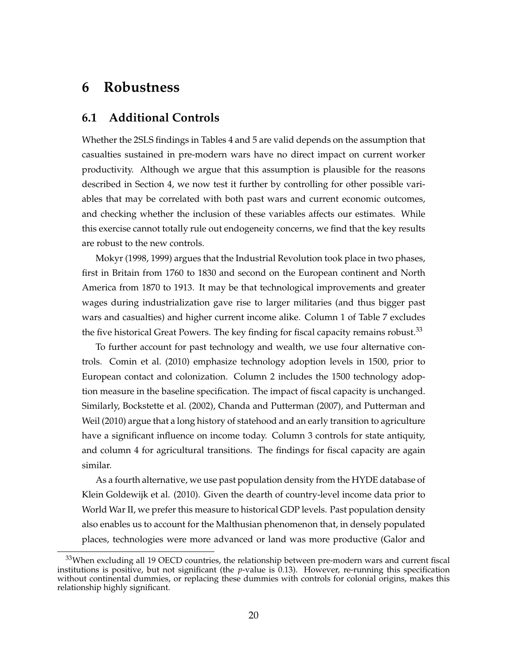### **6 Robustness**

#### **6.1 Additional Controls**

Whether the 2SLS findings in Tables 4 and 5 are valid depends on the assumption that casualties sustained in pre-modern wars have no direct impact on current worker productivity. Although we argue that this assumption is plausible for the reasons described in Section 4, we now test it further by controlling for other possible variables that may be correlated with both past wars and current economic outcomes, and checking whether the inclusion of these variables affects our estimates. While this exercise cannot totally rule out endogeneity concerns, we find that the key results are robust to the new controls.

Mokyr (1998, 1999) argues that the Industrial Revolution took place in two phases, first in Britain from 1760 to 1830 and second on the European continent and North America from 1870 to 1913. It may be that technological improvements and greater wages during industrialization gave rise to larger militaries (and thus bigger past wars and casualties) and higher current income alike. Column 1 of Table 7 excludes the five historical Great Powers. The key finding for fiscal capacity remains robust.<sup>33</sup>

To further account for past technology and wealth, we use four alternative controls. Comin et al. (2010) emphasize technology adoption levels in 1500, prior to European contact and colonization. Column 2 includes the 1500 technology adoption measure in the baseline specification. The impact of fiscal capacity is unchanged. Similarly, Bockstette et al. (2002), Chanda and Putterman (2007), and Putterman and Weil (2010) argue that a long history of statehood and an early transition to agriculture have a significant influence on income today. Column 3 controls for state antiquity, and column 4 for agricultural transitions. The findings for fiscal capacity are again similar.

As a fourth alternative, we use past population density from the HYDE database of Klein Goldewijk et al. (2010). Given the dearth of country-level income data prior to World War II, we prefer this measure to historical GDP levels. Past population density also enables us to account for the Malthusian phenomenon that, in densely populated places, technologies were more advanced or land was more productive (Galor and

<sup>&</sup>lt;sup>33</sup>When excluding all 19 OECD countries, the relationship between pre-modern wars and current fiscal institutions is positive, but not significant (the *p*-value is 0.13). However, re-running this specification without continental dummies, or replacing these dummies with controls for colonial origins, makes this relationship highly significant.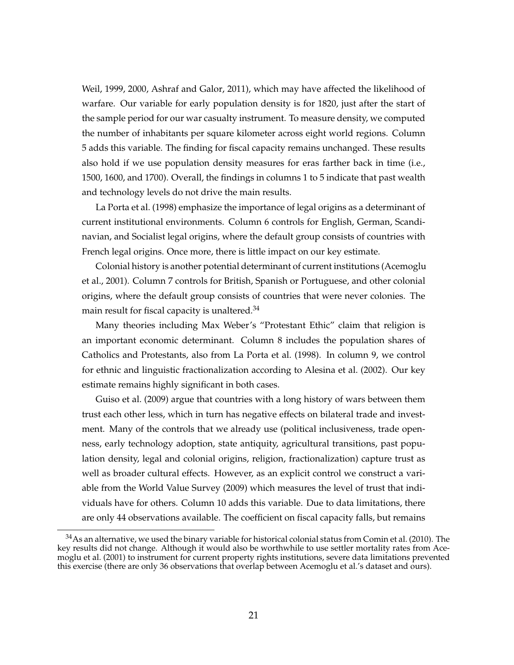Weil, 1999, 2000, Ashraf and Galor, 2011), which may have affected the likelihood of warfare. Our variable for early population density is for 1820, just after the start of the sample period for our war casualty instrument. To measure density, we computed the number of inhabitants per square kilometer across eight world regions. Column 5 adds this variable. The finding for fiscal capacity remains unchanged. These results also hold if we use population density measures for eras farther back in time (i.e., 1500, 1600, and 1700). Overall, the findings in columns 1 to 5 indicate that past wealth and technology levels do not drive the main results.

La Porta et al. (1998) emphasize the importance of legal origins as a determinant of current institutional environments. Column 6 controls for English, German, Scandinavian, and Socialist legal origins, where the default group consists of countries with French legal origins. Once more, there is little impact on our key estimate.

Colonial history is another potential determinant of current institutions (Acemoglu et al., 2001). Column 7 controls for British, Spanish or Portuguese, and other colonial origins, where the default group consists of countries that were never colonies. The main result for fiscal capacity is unaltered. $34$ 

Many theories including Max Weber's "Protestant Ethic" claim that religion is an important economic determinant. Column 8 includes the population shares of Catholics and Protestants, also from La Porta et al. (1998). In column 9, we control for ethnic and linguistic fractionalization according to Alesina et al. (2002). Our key estimate remains highly significant in both cases.

Guiso et al. (2009) argue that countries with a long history of wars between them trust each other less, which in turn has negative effects on bilateral trade and investment. Many of the controls that we already use (political inclusiveness, trade openness, early technology adoption, state antiquity, agricultural transitions, past population density, legal and colonial origins, religion, fractionalization) capture trust as well as broader cultural effects. However, as an explicit control we construct a variable from the World Value Survey (2009) which measures the level of trust that individuals have for others. Column 10 adds this variable. Due to data limitations, there are only 44 observations available. The coefficient on fiscal capacity falls, but remains

 $34$  As an alternative, we used the binary variable for historical colonial status from Comin et al. (2010). The key results did not change. Although it would also be worthwhile to use settler mortality rates from Acemoglu et al. (2001) to instrument for current property rights institutions, severe data limitations prevented this exercise (there are only 36 observations that overlap between Acemoglu et al.'s dataset and ours).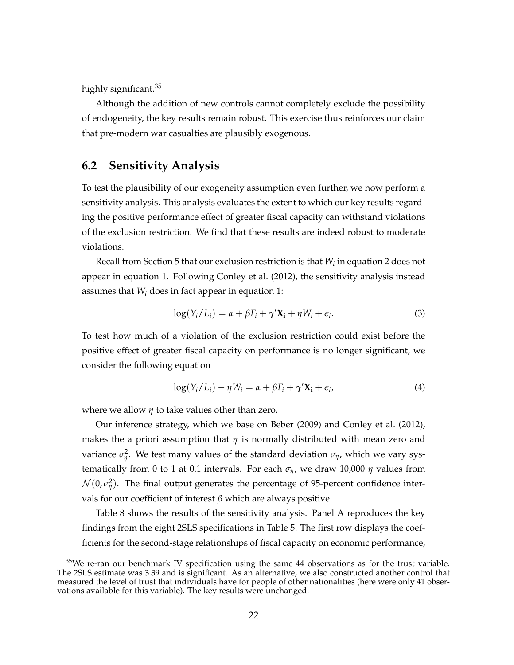highly significant.<sup>35</sup>

Although the addition of new controls cannot completely exclude the possibility of endogeneity, the key results remain robust. This exercise thus reinforces our claim that pre-modern war casualties are plausibly exogenous.

#### **6.2 Sensitivity Analysis**

To test the plausibility of our exogeneity assumption even further, we now perform a sensitivity analysis. This analysis evaluates the extent to which our key results regarding the positive performance effect of greater fiscal capacity can withstand violations of the exclusion restriction. We find that these results are indeed robust to moderate violations.

Recall from Section 5 that our exclusion restriction is that *W<sup>i</sup>* in equation 2 does not appear in equation 1. Following Conley et al. (2012), the sensitivity analysis instead assumes that *W<sup>i</sup>* does in fact appear in equation 1:

$$
\log(Y_i/L_i) = \alpha + \beta F_i + \gamma' \mathbf{X_i} + \eta W_i + \epsilon_i.
$$
\n(3)

To test how much of a violation of the exclusion restriction could exist before the positive effect of greater fiscal capacity on performance is no longer significant, we consider the following equation

$$
\log(Y_i/L_i) - \eta W_i = \alpha + \beta F_i + \gamma' \mathbf{X_i} + \epsilon_i,
$$
\n(4)

where we allow *η* to take values other than zero.

Our inference strategy, which we base on Beber (2009) and Conley et al. (2012), makes the a priori assumption that  $\eta$  is normally distributed with mean zero and variance  $\sigma_{\eta}^2$ . We test many values of the standard deviation  $\sigma_{\eta}$ , which we vary systematically from 0 to 1 at 0.1 intervals. For each  $\sigma_{\eta}$ , we draw 10,000  $\eta$  values from  $\mathcal{N}(0, \sigma_{\eta}^2)$ . The final output generates the percentage of 95-percent confidence intervals for our coefficient of interest *β* which are always positive.

Table 8 shows the results of the sensitivity analysis. Panel A reproduces the key findings from the eight 2SLS specifications in Table 5. The first row displays the coefficients for the second-stage relationships of fiscal capacity on economic performance,

 $35$ We re-ran our benchmark IV specification using the same 44 observations as for the trust variable. The 2SLS estimate was 3.39 and is significant. As an alternative, we also constructed another control that measured the level of trust that individuals have for people of other nationalities (here were only 41 observations available for this variable). The key results were unchanged.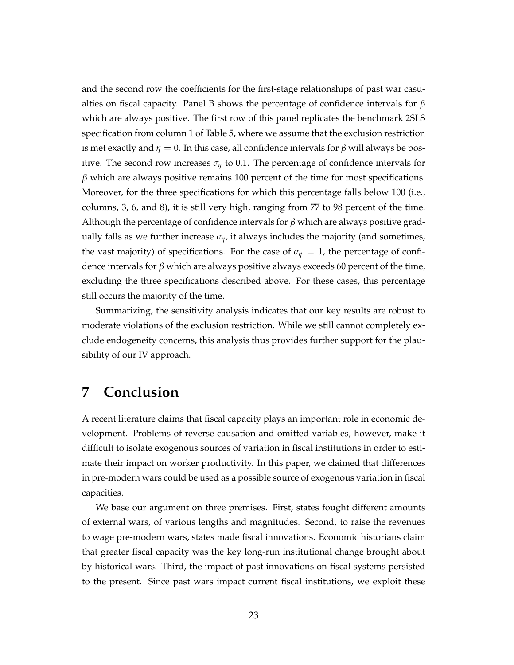and the second row the coefficients for the first-stage relationships of past war casualties on fiscal capacity. Panel B shows the percentage of confidence intervals for *β* which are always positive. The first row of this panel replicates the benchmark 2SLS specification from column 1 of Table 5, where we assume that the exclusion restriction is met exactly and  $\eta = 0$ . In this case, all confidence intervals for  $\beta$  will always be positive. The second row increases  $\sigma_{\eta}$  to 0.1. The percentage of confidence intervals for *β* which are always positive remains 100 percent of the time for most specifications. Moreover, for the three specifications for which this percentage falls below 100 (i.e., columns, 3, 6, and 8), it is still very high, ranging from 77 to 98 percent of the time. Although the percentage of confidence intervals for *β* which are always positive gradually falls as we further increase  $\sigma_{\eta}$ , it always includes the majority (and sometimes, the vast majority) of specifications. For the case of  $\sigma_{\eta} = 1$ , the percentage of confidence intervals for *β* which are always positive always exceeds 60 percent of the time, excluding the three specifications described above. For these cases, this percentage still occurs the majority of the time.

Summarizing, the sensitivity analysis indicates that our key results are robust to moderate violations of the exclusion restriction. While we still cannot completely exclude endogeneity concerns, this analysis thus provides further support for the plausibility of our IV approach.

### **7 Conclusion**

A recent literature claims that fiscal capacity plays an important role in economic development. Problems of reverse causation and omitted variables, however, make it difficult to isolate exogenous sources of variation in fiscal institutions in order to estimate their impact on worker productivity. In this paper, we claimed that differences in pre-modern wars could be used as a possible source of exogenous variation in fiscal capacities.

We base our argument on three premises. First, states fought different amounts of external wars, of various lengths and magnitudes. Second, to raise the revenues to wage pre-modern wars, states made fiscal innovations. Economic historians claim that greater fiscal capacity was the key long-run institutional change brought about by historical wars. Third, the impact of past innovations on fiscal systems persisted to the present. Since past wars impact current fiscal institutions, we exploit these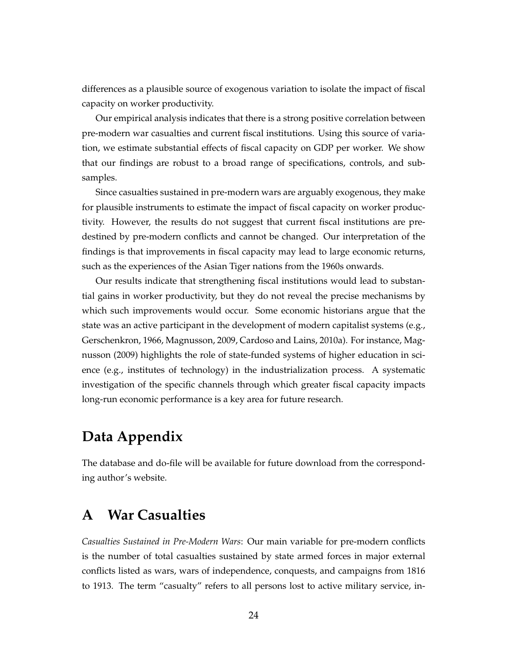differences as a plausible source of exogenous variation to isolate the impact of fiscal capacity on worker productivity.

Our empirical analysis indicates that there is a strong positive correlation between pre-modern war casualties and current fiscal institutions. Using this source of variation, we estimate substantial effects of fiscal capacity on GDP per worker. We show that our findings are robust to a broad range of specifications, controls, and subsamples.

Since casualties sustained in pre-modern wars are arguably exogenous, they make for plausible instruments to estimate the impact of fiscal capacity on worker productivity. However, the results do not suggest that current fiscal institutions are predestined by pre-modern conflicts and cannot be changed. Our interpretation of the findings is that improvements in fiscal capacity may lead to large economic returns, such as the experiences of the Asian Tiger nations from the 1960s onwards.

Our results indicate that strengthening fiscal institutions would lead to substantial gains in worker productivity, but they do not reveal the precise mechanisms by which such improvements would occur. Some economic historians argue that the state was an active participant in the development of modern capitalist systems (e.g., Gerschenkron, 1966, Magnusson, 2009, Cardoso and Lains, 2010a). For instance, Magnusson (2009) highlights the role of state-funded systems of higher education in science (e.g., institutes of technology) in the industrialization process. A systematic investigation of the specific channels through which greater fiscal capacity impacts long-run economic performance is a key area for future research.

## **Data Appendix**

The database and do-file will be available for future download from the corresponding author's website.

## **A War Casualties**

*Casualties Sustained in Pre-Modern Wars*: Our main variable for pre-modern conflicts is the number of total casualties sustained by state armed forces in major external conflicts listed as wars, wars of independence, conquests, and campaigns from 1816 to 1913. The term "casualty" refers to all persons lost to active military service, in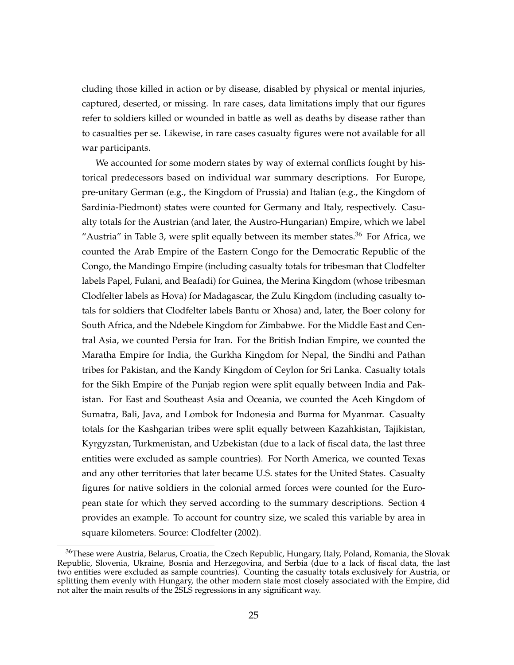cluding those killed in action or by disease, disabled by physical or mental injuries, captured, deserted, or missing. In rare cases, data limitations imply that our figures refer to soldiers killed or wounded in battle as well as deaths by disease rather than to casualties per se. Likewise, in rare cases casualty figures were not available for all war participants.

We accounted for some modern states by way of external conflicts fought by historical predecessors based on individual war summary descriptions. For Europe, pre-unitary German (e.g., the Kingdom of Prussia) and Italian (e.g., the Kingdom of Sardinia-Piedmont) states were counted for Germany and Italy, respectively. Casualty totals for the Austrian (and later, the Austro-Hungarian) Empire, which we label "Austria" in Table 3, were split equally between its member states. $36$  For Africa, we counted the Arab Empire of the Eastern Congo for the Democratic Republic of the Congo, the Mandingo Empire (including casualty totals for tribesman that Clodfelter labels Papel, Fulani, and Beafadi) for Guinea, the Merina Kingdom (whose tribesman Clodfelter labels as Hova) for Madagascar, the Zulu Kingdom (including casualty totals for soldiers that Clodfelter labels Bantu or Xhosa) and, later, the Boer colony for South Africa, and the Ndebele Kingdom for Zimbabwe. For the Middle East and Central Asia, we counted Persia for Iran. For the British Indian Empire, we counted the Maratha Empire for India, the Gurkha Kingdom for Nepal, the Sindhi and Pathan tribes for Pakistan, and the Kandy Kingdom of Ceylon for Sri Lanka. Casualty totals for the Sikh Empire of the Punjab region were split equally between India and Pakistan. For East and Southeast Asia and Oceania, we counted the Aceh Kingdom of Sumatra, Bali, Java, and Lombok for Indonesia and Burma for Myanmar. Casualty totals for the Kashgarian tribes were split equally between Kazahkistan, Tajikistan, Kyrgyzstan, Turkmenistan, and Uzbekistan (due to a lack of fiscal data, the last three entities were excluded as sample countries). For North America, we counted Texas and any other territories that later became U.S. states for the United States. Casualty figures for native soldiers in the colonial armed forces were counted for the European state for which they served according to the summary descriptions. Section 4 provides an example. To account for country size, we scaled this variable by area in square kilometers. Source: Clodfelter (2002).

 $^{36}$ These were Austria, Belarus, Croatia, the Czech Republic, Hungary, Italy, Poland, Romania, the Slovak Republic, Slovenia, Ukraine, Bosnia and Herzegovina, and Serbia (due to a lack of fiscal data, the last two entities were excluded as sample countries). Counting the casualty totals exclusively for Austria, or splitting them evenly with Hungary, the other modern state most closely associated with the Empire, did not alter the main results of the 2SLS regressions in any significant way.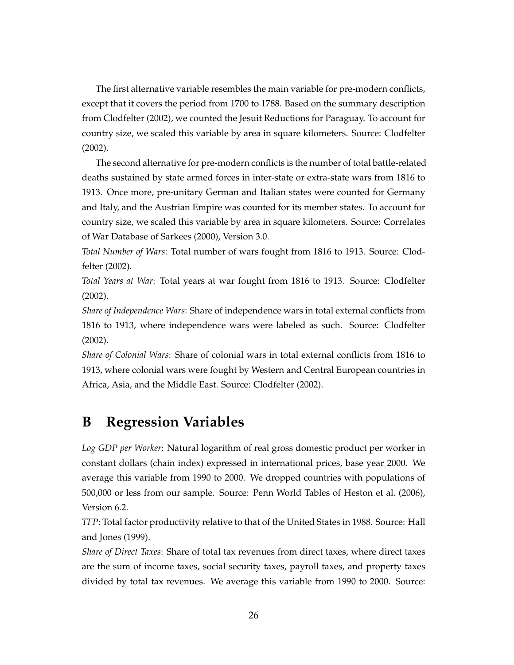The first alternative variable resembles the main variable for pre-modern conflicts, except that it covers the period from 1700 to 1788. Based on the summary description from Clodfelter (2002), we counted the Jesuit Reductions for Paraguay. To account for country size, we scaled this variable by area in square kilometers. Source: Clodfelter (2002).

The second alternative for pre-modern conflicts is the number of total battle-related deaths sustained by state armed forces in inter-state or extra-state wars from 1816 to 1913. Once more, pre-unitary German and Italian states were counted for Germany and Italy, and the Austrian Empire was counted for its member states. To account for country size, we scaled this variable by area in square kilometers. Source: Correlates of War Database of Sarkees (2000), Version 3.0.

*Total Number of Wars*: Total number of wars fought from 1816 to 1913. Source: Clodfelter (2002).

*Total Years at War*: Total years at war fought from 1816 to 1913. Source: Clodfelter (2002).

*Share of Independence Wars*: Share of independence wars in total external conflicts from 1816 to 1913, where independence wars were labeled as such. Source: Clodfelter (2002).

*Share of Colonial Wars*: Share of colonial wars in total external conflicts from 1816 to 1913, where colonial wars were fought by Western and Central European countries in Africa, Asia, and the Middle East. Source: Clodfelter (2002).

## **B Regression Variables**

*Log GDP per Worker*: Natural logarithm of real gross domestic product per worker in constant dollars (chain index) expressed in international prices, base year 2000. We average this variable from 1990 to 2000. We dropped countries with populations of 500,000 or less from our sample. Source: Penn World Tables of Heston et al. (2006), Version 6.2.

*TFP*: Total factor productivity relative to that of the United States in 1988. Source: Hall and Jones (1999).

*Share of Direct Taxes*: Share of total tax revenues from direct taxes, where direct taxes are the sum of income taxes, social security taxes, payroll taxes, and property taxes divided by total tax revenues. We average this variable from 1990 to 2000. Source: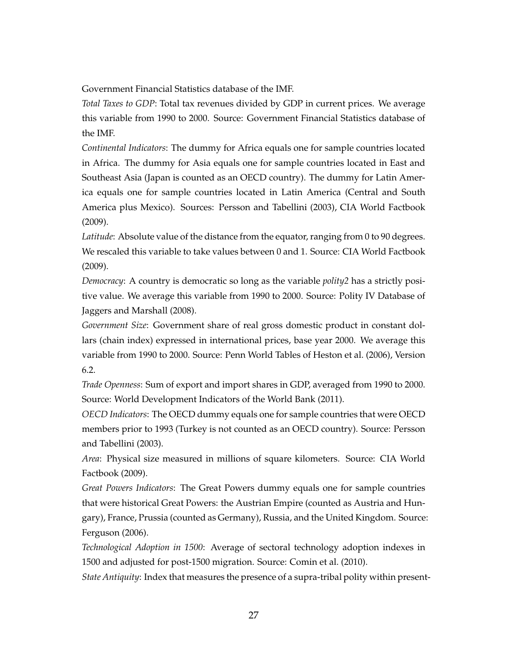Government Financial Statistics database of the IMF.

*Total Taxes to GDP*: Total tax revenues divided by GDP in current prices. We average this variable from 1990 to 2000. Source: Government Financial Statistics database of the IMF.

*Continental Indicators*: The dummy for Africa equals one for sample countries located in Africa. The dummy for Asia equals one for sample countries located in East and Southeast Asia (Japan is counted as an OECD country). The dummy for Latin America equals one for sample countries located in Latin America (Central and South America plus Mexico). Sources: Persson and Tabellini (2003), CIA World Factbook (2009).

*Latitude*: Absolute value of the distance from the equator, ranging from 0 to 90 degrees. We rescaled this variable to take values between 0 and 1. Source: CIA World Factbook (2009).

*Democracy*: A country is democratic so long as the variable *polity2* has a strictly positive value. We average this variable from 1990 to 2000. Source: Polity IV Database of Jaggers and Marshall (2008).

*Government Size*: Government share of real gross domestic product in constant dollars (chain index) expressed in international prices, base year 2000. We average this variable from 1990 to 2000. Source: Penn World Tables of Heston et al. (2006), Version 6.2.

*Trade Openness*: Sum of export and import shares in GDP, averaged from 1990 to 2000. Source: World Development Indicators of the World Bank (2011).

*OECD Indicators*: The OECD dummy equals one for sample countries that were OECD members prior to 1993 (Turkey is not counted as an OECD country). Source: Persson and Tabellini (2003).

*Area*: Physical size measured in millions of square kilometers. Source: CIA World Factbook (2009).

*Great Powers Indicators*: The Great Powers dummy equals one for sample countries that were historical Great Powers: the Austrian Empire (counted as Austria and Hungary), France, Prussia (counted as Germany), Russia, and the United Kingdom. Source: Ferguson (2006).

*Technological Adoption in 1500*: Average of sectoral technology adoption indexes in 1500 and adjusted for post-1500 migration. Source: Comin et al. (2010).

*State Antiquity*: Index that measures the presence of a supra-tribal polity within present-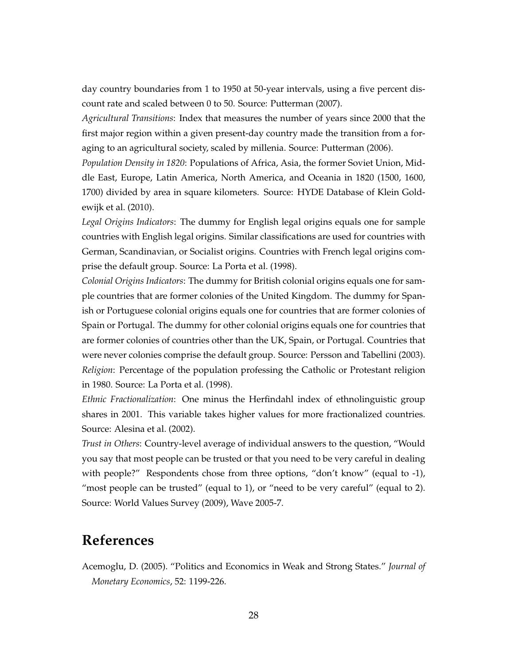day country boundaries from 1 to 1950 at 50-year intervals, using a five percent discount rate and scaled between 0 to 50. Source: Putterman (2007).

*Agricultural Transitions*: Index that measures the number of years since 2000 that the first major region within a given present-day country made the transition from a foraging to an agricultural society, scaled by millenia. Source: Putterman (2006).

*Population Density in 1820*: Populations of Africa, Asia, the former Soviet Union, Middle East, Europe, Latin America, North America, and Oceania in 1820 (1500, 1600, 1700) divided by area in square kilometers. Source: HYDE Database of Klein Goldewijk et al. (2010).

*Legal Origins Indicators*: The dummy for English legal origins equals one for sample countries with English legal origins. Similar classifications are used for countries with German, Scandinavian, or Socialist origins. Countries with French legal origins comprise the default group. Source: La Porta et al. (1998).

*Colonial Origins Indicators*: The dummy for British colonial origins equals one for sample countries that are former colonies of the United Kingdom. The dummy for Spanish or Portuguese colonial origins equals one for countries that are former colonies of Spain or Portugal. The dummy for other colonial origins equals one for countries that are former colonies of countries other than the UK, Spain, or Portugal. Countries that were never colonies comprise the default group. Source: Persson and Tabellini (2003). *Religion*: Percentage of the population professing the Catholic or Protestant religion in 1980. Source: La Porta et al. (1998).

*Ethnic Fractionalization*: One minus the Herfindahl index of ethnolinguistic group shares in 2001. This variable takes higher values for more fractionalized countries. Source: Alesina et al. (2002).

*Trust in Others*: Country-level average of individual answers to the question, "Would you say that most people can be trusted or that you need to be very careful in dealing with people?" Respondents chose from three options, "don't know" (equal to -1), "most people can be trusted" (equal to 1), or "need to be very careful" (equal to 2). Source: World Values Survey (2009), Wave 2005-7.

## **References**

Acemoglu, D. (2005). "Politics and Economics in Weak and Strong States." *Journal of Monetary Economics*, 52: 1199-226.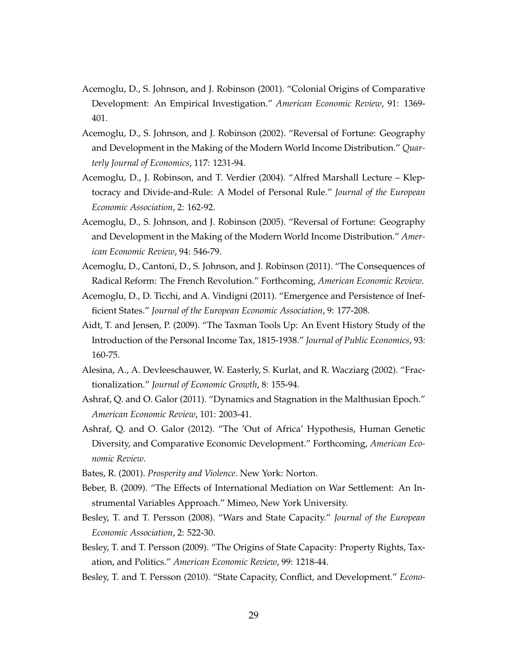- Acemoglu, D., S. Johnson, and J. Robinson (2001). "Colonial Origins of Comparative Development: An Empirical Investigation." *American Economic Review*, 91: 1369- 401.
- Acemoglu, D., S. Johnson, and J. Robinson (2002). "Reversal of Fortune: Geography and Development in the Making of the Modern World Income Distribution." *Quarterly Journal of Economics*, 117: 1231-94.
- Acemoglu, D., J. Robinson, and T. Verdier (2004). "Alfred Marshall Lecture Kleptocracy and Divide-and-Rule: A Model of Personal Rule." *Journal of the European Economic Association*, 2: 162-92.
- Acemoglu, D., S. Johnson, and J. Robinson (2005). "Reversal of Fortune: Geography and Development in the Making of the Modern World Income Distribution." *American Economic Review*, 94: 546-79.
- Acemoglu, D., Cantoni, D., S. Johnson, and J. Robinson (2011). "The Consequences of Radical Reform: The French Revolution." Forthcoming, *American Economic Review*.
- Acemoglu, D., D. Ticchi, and A. Vindigni (2011). "Emergence and Persistence of Inefficient States." *Journal of the European Economic Association*, 9: 177-208.
- Aidt, T. and Jensen, P. (2009). "The Taxman Tools Up: An Event History Study of the Introduction of the Personal Income Tax, 1815-1938." *Journal of Public Economics*, 93: 160-75.
- Alesina, A., A. Devleeschauwer, W. Easterly, S. Kurlat, and R. Wacziarg (2002). "Fractionalization." *Journal of Economic Growth*, 8: 155-94.
- Ashraf, Q. and O. Galor (2011). "Dynamics and Stagnation in the Malthusian Epoch." *American Economic Review*, 101: 2003-41.
- Ashraf, Q. and O. Galor (2012). "The 'Out of Africa' Hypothesis, Human Genetic Diversity, and Comparative Economic Development." Forthcoming, *American Economic Review*.
- Bates, R. (2001). *Prosperity and Violence*. New York: Norton.
- Beber, B. (2009). "The Effects of International Mediation on War Settlement: An Instrumental Variables Approach." Mimeo, New York University.
- Besley, T. and T. Persson (2008). "Wars and State Capacity." *Journal of the European Economic Association*, 2: 522-30.
- Besley, T. and T. Persson (2009). "The Origins of State Capacity: Property Rights, Taxation, and Politics." *American Economic Review*, 99: 1218-44.
- Besley, T. and T. Persson (2010). "State Capacity, Conflict, and Development." *Econo-*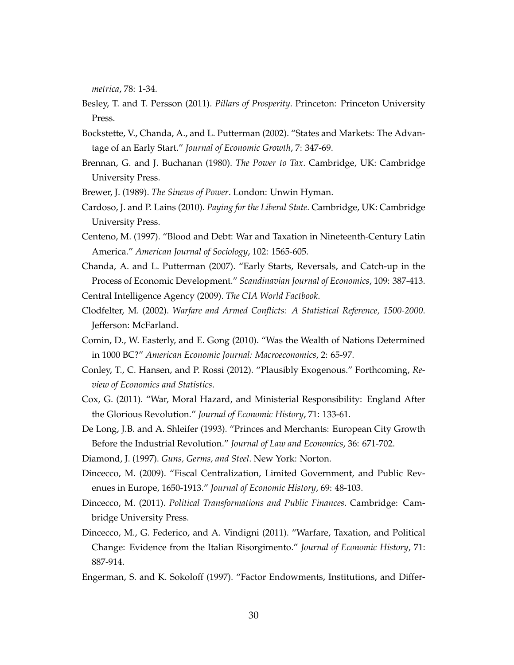*metrica*, 78: 1-34.

- Besley, T. and T. Persson (2011). *Pillars of Prosperity*. Princeton: Princeton University Press.
- Bockstette, V., Chanda, A., and L. Putterman (2002). "States and Markets: The Advantage of an Early Start." *Journal of Economic Growth*, 7: 347-69.
- Brennan, G. and J. Buchanan (1980). *The Power to Tax*. Cambridge, UK: Cambridge University Press.
- Brewer, J. (1989). *The Sinews of Power*. London: Unwin Hyman.
- Cardoso, J. and P. Lains (2010). *Paying for the Liberal State.* Cambridge, UK: Cambridge University Press.
- Centeno, M. (1997). "Blood and Debt: War and Taxation in Nineteenth-Century Latin America." *American Journal of Sociology*, 102: 1565-605.
- Chanda, A. and L. Putterman (2007). "Early Starts, Reversals, and Catch-up in the Process of Economic Development." *Scandinavian Journal of Economics*, 109: 387-413. Central Intelligence Agency (2009). *The CIA World Factbook*.
- Clodfelter, M. (2002). *Warfare and Armed Conflicts: A Statistical Reference, 1500-2000*. Jefferson: McFarland.
- Comin, D., W. Easterly, and E. Gong (2010). "Was the Wealth of Nations Determined in 1000 BC?" *American Economic Journal: Macroeconomics*, 2: 65-97.
- Conley, T., C. Hansen, and P. Rossi (2012). "Plausibly Exogenous." Forthcoming, *Review of Economics and Statistics*.
- Cox, G. (2011). "War, Moral Hazard, and Ministerial Responsibility: England After the Glorious Revolution." *Journal of Economic History*, 71: 133-61.
- De Long, J.B. and A. Shleifer (1993). "Princes and Merchants: European City Growth Before the Industrial Revolution." *Journal of Law and Economics*, 36: 671-702.
- Diamond, J. (1997). *Guns, Germs, and Steel*. New York: Norton.
- Dincecco, M. (2009). "Fiscal Centralization, Limited Government, and Public Revenues in Europe, 1650-1913." *Journal of Economic History*, 69: 48-103.
- Dincecco, M. (2011). *Political Transformations and Public Finances*. Cambridge: Cambridge University Press.
- Dincecco, M., G. Federico, and A. Vindigni (2011). "Warfare, Taxation, and Political Change: Evidence from the Italian Risorgimento." *Journal of Economic History*, 71: 887-914.
- Engerman, S. and K. Sokoloff (1997). "Factor Endowments, Institutions, and Differ-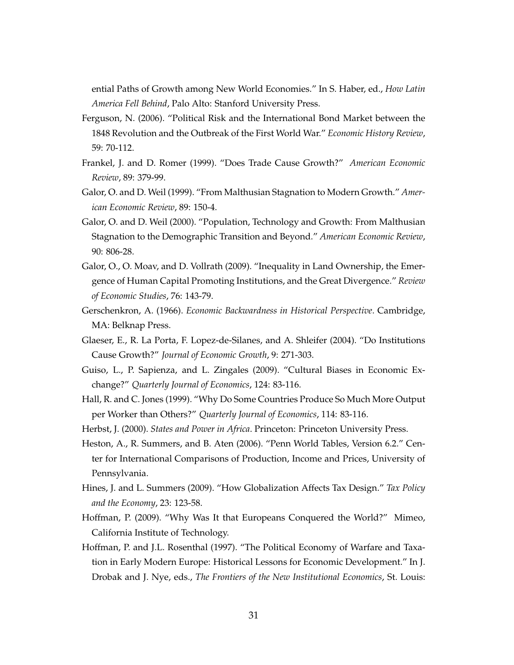ential Paths of Growth among New World Economies." In S. Haber, ed., *How Latin America Fell Behind*, Palo Alto: Stanford University Press.

- Ferguson, N. (2006). "Political Risk and the International Bond Market between the 1848 Revolution and the Outbreak of the First World War." *Economic History Review*, 59: 70-112.
- Frankel, J. and D. Romer (1999). "Does Trade Cause Growth?" *American Economic Review*, 89: 379-99.
- Galor, O. and D. Weil (1999). "From Malthusian Stagnation to Modern Growth." *American Economic Review*, 89: 150-4.
- Galor, O. and D. Weil (2000). "Population, Technology and Growth: From Malthusian Stagnation to the Demographic Transition and Beyond." *American Economic Review*, 90: 806-28.
- Galor, O., O. Moav, and D. Vollrath (2009). "Inequality in Land Ownership, the Emergence of Human Capital Promoting Institutions, and the Great Divergence." *Review of Economic Studies*, 76: 143-79.
- Gerschenkron, A. (1966). *Economic Backwardness in Historical Perspective*. Cambridge, MA: Belknap Press.
- Glaeser, E., R. La Porta, F. Lopez-de-Silanes, and A. Shleifer (2004). "Do Institutions Cause Growth?" *Journal of Economic Growth*, 9: 271-303.
- Guiso, L., P. Sapienza, and L. Zingales (2009). "Cultural Biases in Economic Exchange?" *Quarterly Journal of Economics*, 124: 83-116.
- Hall, R. and C. Jones (1999). "Why Do Some Countries Produce So Much More Output per Worker than Others?" *Quarterly Journal of Economics*, 114: 83-116.
- Herbst, J. (2000). *States and Power in Africa*. Princeton: Princeton University Press.
- Heston, A., R. Summers, and B. Aten (2006). "Penn World Tables, Version 6.2." Center for International Comparisons of Production, Income and Prices, University of Pennsylvania.
- Hines, J. and L. Summers (2009). "How Globalization Affects Tax Design." *Tax Policy and the Economy*, 23: 123-58.
- Hoffman, P. (2009). "Why Was It that Europeans Conquered the World?" Mimeo, California Institute of Technology.
- Hoffman, P. and J.L. Rosenthal (1997). "The Political Economy of Warfare and Taxation in Early Modern Europe: Historical Lessons for Economic Development." In J. Drobak and J. Nye, eds., *The Frontiers of the New Institutional Economics*, St. Louis: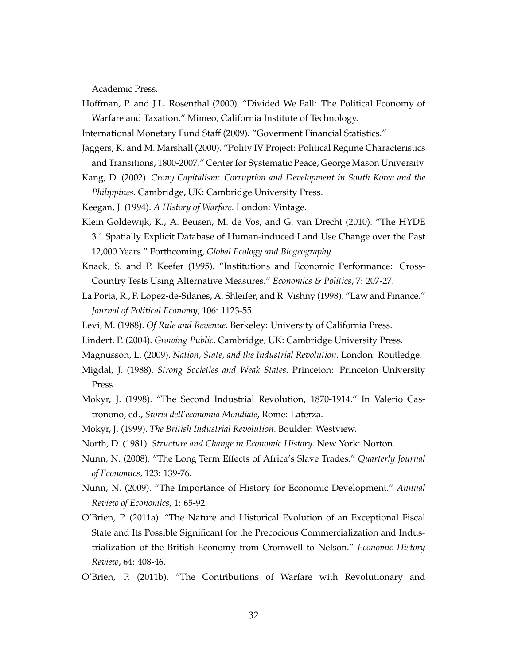Academic Press.

- Hoffman, P. and J.L. Rosenthal (2000). "Divided We Fall: The Political Economy of Warfare and Taxation." Mimeo, California Institute of Technology.
- International Monetary Fund Staff (2009). "Goverment Financial Statistics."
- Jaggers, K. and M. Marshall (2000). "Polity IV Project: Political Regime Characteristics and Transitions, 1800-2007." Center for Systematic Peace, George Mason University.
- Kang, D. (2002). *Crony Capitalism: Corruption and Development in South Korea and the Philippines*. Cambridge, UK: Cambridge University Press.
- Keegan, J. (1994). *A History of Warfare*. London: Vintage.
- Klein Goldewijk, K., A. Beusen, M. de Vos, and G. van Drecht (2010). "The HYDE 3.1 Spatially Explicit Database of Human-induced Land Use Change over the Past 12,000 Years." Forthcoming, *Global Ecology and Biogeography*.
- Knack, S. and P. Keefer (1995). "Institutions and Economic Performance: Cross-Country Tests Using Alternative Measures." *Economics & Politics*, 7: 207-27.
- La Porta, R., F. Lopez-de-Silanes, A. Shleifer, and R. Vishny (1998). "Law and Finance." *Journal of Political Economy*, 106: 1123-55.
- Levi, M. (1988). *Of Rule and Revenue*. Berkeley: University of California Press.
- Lindert, P. (2004). *Growing Public*. Cambridge, UK: Cambridge University Press.
- Magnusson, L. (2009). *Nation, State, and the Industrial Revolution*. London: Routledge.
- Migdal, J. (1988). *Strong Societies and Weak States*. Princeton: Princeton University Press.
- Mokyr, J. (1998). "The Second Industrial Revolution, 1870-1914." In Valerio Castronono, ed., *Storia dell'economia Mondiale*, Rome: Laterza.
- Mokyr, J. (1999). *The British Industrial Revolution*. Boulder: Westview.
- North, D. (1981). *Structure and Change in Economic History*. New York: Norton.
- Nunn, N. (2008). "The Long Term Effects of Africa's Slave Trades." *Quarterly Journal of Economics*, 123: 139-76.
- Nunn, N. (2009). "The Importance of History for Economic Development." *Annual Review of Economics*, 1: 65-92.
- O'Brien, P. (2011a). "The Nature and Historical Evolution of an Exceptional Fiscal State and Its Possible Significant for the Precocious Commercialization and Industrialization of the British Economy from Cromwell to Nelson." *Economic History Review*, 64: 408-46.
- O'Brien, P. (2011b). "The Contributions of Warfare with Revolutionary and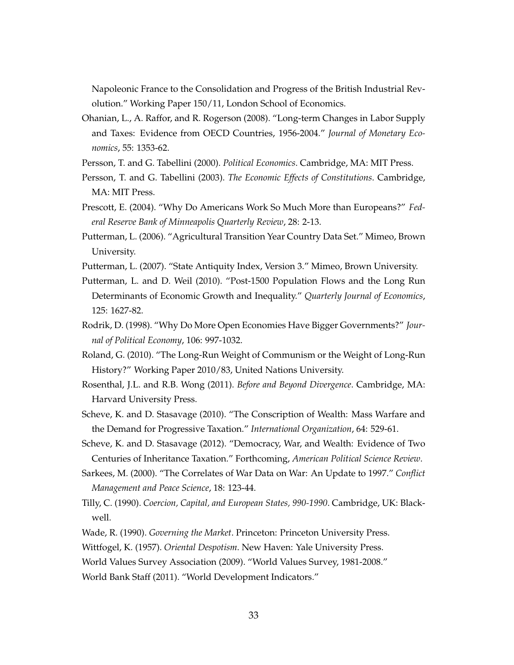Napoleonic France to the Consolidation and Progress of the British Industrial Revolution." Working Paper 150/11, London School of Economics.

- Ohanian, L., A. Raffor, and R. Rogerson (2008). "Long-term Changes in Labor Supply and Taxes: Evidence from OECD Countries, 1956-2004." *Journal of Monetary Economics*, 55: 1353-62.
- Persson, T. and G. Tabellini (2000). *Political Economics*. Cambridge, MA: MIT Press.
- Persson, T. and G. Tabellini (2003). *The Economic Effects of Constitutions*. Cambridge, MA: MIT Press.
- Prescott, E. (2004). "Why Do Americans Work So Much More than Europeans?" *Federal Reserve Bank of Minneapolis Quarterly Review*, 28: 2-13.
- Putterman, L. (2006). "Agricultural Transition Year Country Data Set." Mimeo, Brown University.
- Putterman, L. (2007). "State Antiquity Index, Version 3." Mimeo, Brown University.
- Putterman, L. and D. Weil (2010). "Post-1500 Population Flows and the Long Run Determinants of Economic Growth and Inequality." *Quarterly Journal of Economics*, 125: 1627-82.
- Rodrik, D. (1998). "Why Do More Open Economies Have Bigger Governments?" *Journal of Political Economy*, 106: 997-1032.
- Roland, G. (2010). "The Long-Run Weight of Communism or the Weight of Long-Run History?" Working Paper 2010/83, United Nations University.
- Rosenthal, J.L. and R.B. Wong (2011). *Before and Beyond Divergence*. Cambridge, MA: Harvard University Press.
- Scheve, K. and D. Stasavage (2010). "The Conscription of Wealth: Mass Warfare and the Demand for Progressive Taxation." *International Organization*, 64: 529-61.
- Scheve, K. and D. Stasavage (2012). "Democracy, War, and Wealth: Evidence of Two Centuries of Inheritance Taxation." Forthcoming, *American Political Science Review*.
- Sarkees, M. (2000). "The Correlates of War Data on War: An Update to 1997." *Conflict Management and Peace Science*, 18: 123-44.
- Tilly, C. (1990). *Coercion, Capital, and European States, 990-1990*. Cambridge, UK: Blackwell.
- Wade, R. (1990). *Governing the Market*. Princeton: Princeton University Press.
- Wittfogel, K. (1957). *Oriental Despotism*. New Haven: Yale University Press.

World Values Survey Association (2009). "World Values Survey, 1981-2008."

World Bank Staff (2011). "World Development Indicators."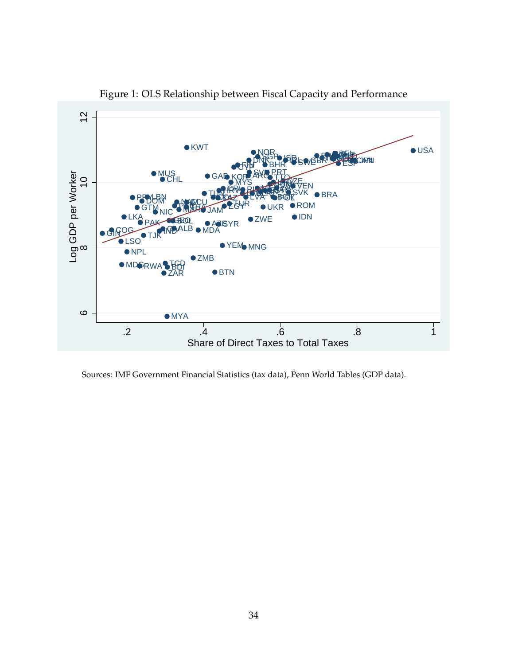

Figure 1: OLS Relationship between Fiscal Capacity and Performance

Sources: IMF Government Financial Statistics (tax data), Penn World Tables (GDP data).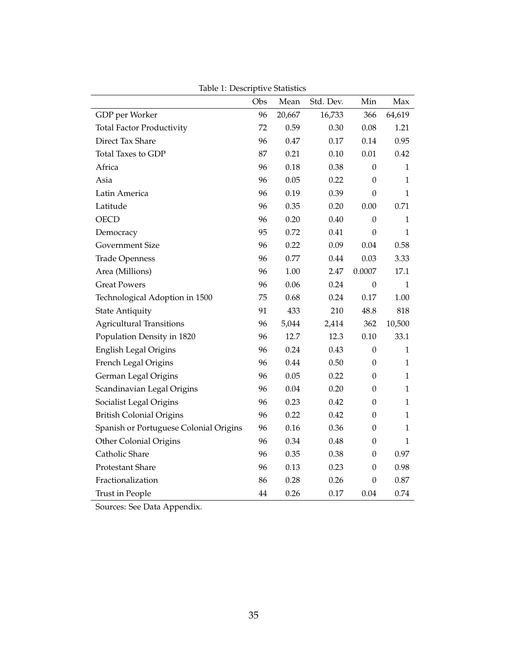| Table 1. Descriptive Jiansines         | Obs |        | Std. Dev. | Min              | Max          |
|----------------------------------------|-----|--------|-----------|------------------|--------------|
|                                        |     | Mean   |           |                  |              |
| GDP per Worker                         | 96  | 20,667 | 16,733    | 366              | 64,619       |
| <b>Total Factor Productivity</b>       | 72  | 0.59   | 0.30      | 0.08             | 1.21         |
| Direct Tax Share                       | 96  | 0.47   | 0.17      | 0.14             | 0.95         |
| <b>Total Taxes to GDP</b>              | 87  | 0.21   | 0.10      | 0.01             | 0.42         |
| Africa                                 | 96  | 0.18   | 0.38      | $\theta$         | $\mathbf{1}$ |
| Asia                                   | 96  | 0.05   | 0.22      | $\boldsymbol{0}$ | $\mathbf{1}$ |
| Latin America                          | 96  | 0.19   | 0.39      | $\theta$         | 1            |
| Latitude                               | 96  | 0.35   | 0.20      | 0.00             | 0.71         |
| <b>OECD</b>                            | 96  | 0.20   | 0.40      | $\Omega$         | 1            |
| Democracy                              | 95  | 0.72   | 0.41      | $\mathbf{0}$     | $\mathbf{1}$ |
| Government Size                        | 96  | 0.22   | 0.09      | 0.04             | 0.58         |
| <b>Trade Openness</b>                  | 96  | 0.77   | 0.44      | 0.03             | 3.33         |
| Area (Millions)                        | 96  | 1.00   | 2.47      | 0.0007           | 17.1         |
| <b>Great Powers</b>                    | 96  | 0.06   | 0.24      | $\boldsymbol{0}$ | 1            |
| Technological Adoption in 1500         | 75  | 0.68   | 0.24      | 0.17             | 1.00         |
| <b>State Antiquity</b>                 | 91  | 433    | 210       | 48.8             | 818          |
| <b>Agricultural Transitions</b>        | 96  | 5,044  | 2,414     | 362              | 10,500       |
| Population Density in 1820             | 96  | 12.7   | 12.3      | 0.10             | 33.1         |
| <b>English Legal Origins</b>           | 96  | 0.24   | 0.43      | $\boldsymbol{0}$ | 1            |
| French Legal Origins                   | 96  | 0.44   | 0.50      | $\boldsymbol{0}$ | $\mathbf{1}$ |
| German Legal Origins                   | 96  | 0.05   | 0.22      | $\boldsymbol{0}$ | $\mathbf{1}$ |
| Scandinavian Legal Origins             | 96  | 0.04   | 0.20      | $\boldsymbol{0}$ | $\mathbf{1}$ |
| Socialist Legal Origins                | 96  | 0.23   | 0.42      | $\boldsymbol{0}$ | 1            |
| <b>British Colonial Origins</b>        | 96  | 0.22   | 0.42      | $\theta$         | 1            |
| Spanish or Portuguese Colonial Origins | 96  | 0.16   | 0.36      | $\boldsymbol{0}$ | $\mathbf{1}$ |
| Other Colonial Origins                 | 96  | 0.34   | 0.48      | $\boldsymbol{0}$ | $\mathbf{1}$ |
| Catholic Share                         | 96  | 0.35   | 0.38      | $\boldsymbol{0}$ | 0.97         |
| Protestant Share                       | 96  | 0.13   | 0.23      | $\boldsymbol{0}$ | 0.98         |
| Fractionalization                      | 86  | 0.28   | 0.26      | $\boldsymbol{0}$ | 0.87         |
| <b>Trust in People</b>                 | 44  | 0.26   | 0.17      | 0.04             | 0.74         |

Table 1: Descriptive Statistics

Sources: See Data Appendix.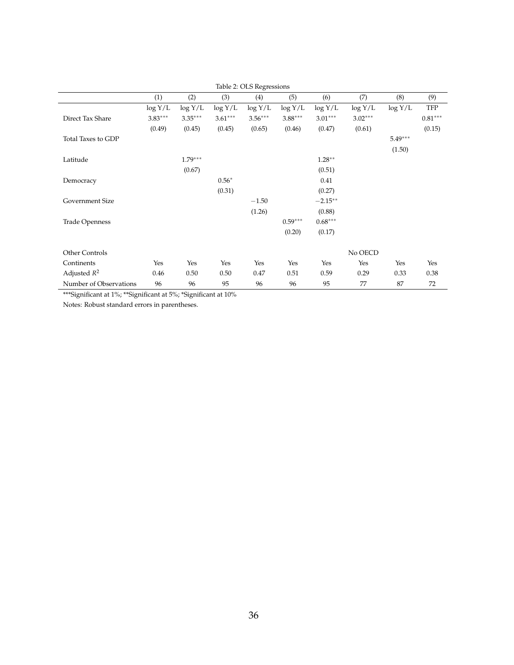|                        |           |            |            | Table 2: OLS Regressions |           |            |            |            |            |
|------------------------|-----------|------------|------------|--------------------------|-----------|------------|------------|------------|------------|
|                        | (1)       | (2)        | (3)        | (4)                      | (5)       | (6)        | (7)        | (8)        | (9)        |
|                        | log Y/L   | $\log Y/L$ | $\log Y/L$ | log Y/L                  | log Y/L   | $\log Y/L$ | $\log Y/L$ | $\log Y/L$ | <b>TFP</b> |
| Direct Tax Share       | $3.83***$ | $3.35***$  | $3.61***$  | $3.56***$                | $3.88***$ | $3.01***$  | $3.02***$  |            | $0.81***$  |
|                        | (0.49)    | (0.45)     | (0.45)     | (0.65)                   | (0.46)    | (0.47)     | (0.61)     |            | (0.15)     |
| Total Taxes to GDP     |           |            |            |                          |           |            |            | $5.49***$  |            |
|                        |           |            |            |                          |           |            |            | (1.50)     |            |
| Latitude               |           | $1.79***$  |            |                          |           | $1.28**$   |            |            |            |
|                        |           | (0.67)     |            |                          |           | (0.51)     |            |            |            |
| Democracy              |           |            | $0.56*$    |                          |           | 0.41       |            |            |            |
|                        |           |            | (0.31)     |                          |           | (0.27)     |            |            |            |
| Government Size        |           |            |            | $-1.50$                  |           | $-2.15***$ |            |            |            |
|                        |           |            |            | (1.26)                   |           | (0.88)     |            |            |            |
| <b>Trade Openness</b>  |           |            |            |                          | $0.59***$ | $0.68***$  |            |            |            |
|                        |           |            |            |                          | (0.20)    | (0.17)     |            |            |            |
| Other Controls         |           |            |            |                          |           |            | No OECD    |            |            |
| Continents             | Yes       | Yes        | Yes        | Yes                      | Yes       | Yes        | Yes        | Yes        | Yes        |
| Adjusted $R^2$         | 0.46      | 0.50       | 0.50       | 0.47                     | 0.51      | 0.59       | 0.29       | 0.33       | 0.38       |
| Number of Observations | 96        | 96         | 95         | 96                       | 96        | 95         | 77         | 87         | 72         |

\*\*\*Significant at 1%; \*\*Significant at 5%; \*Significant at 10%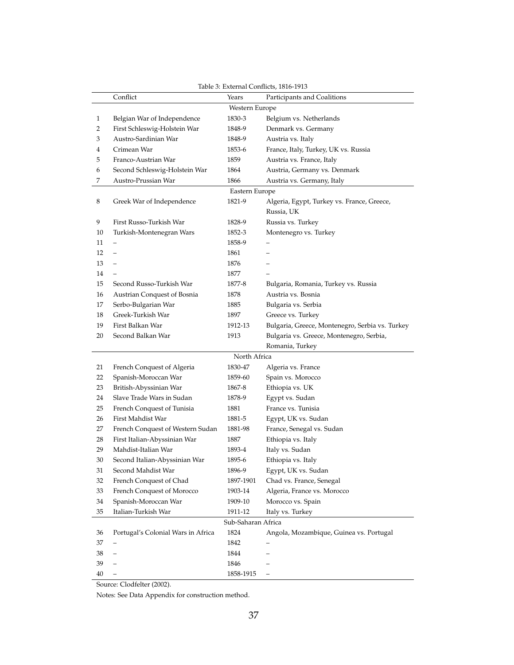|    |                                    |                    | Table 5. External Collinets, 1010-1715                   |  |  |  |  |  |  |  |
|----|------------------------------------|--------------------|----------------------------------------------------------|--|--|--|--|--|--|--|
|    | Conflict                           | Years              | Participants and Coalitions                              |  |  |  |  |  |  |  |
|    | Western Europe                     |                    |                                                          |  |  |  |  |  |  |  |
| 1  | Belgian War of Independence        | 1830-3             | Belgium vs. Netherlands                                  |  |  |  |  |  |  |  |
| 2  | First Schleswig-Holstein War       | 1848-9             | Denmark vs. Germany                                      |  |  |  |  |  |  |  |
| 3  | Austro-Sardinian War               | 1848-9             | Austria vs. Italy                                        |  |  |  |  |  |  |  |
| 4  | Crimean War                        | 1853-6             | France, Italy, Turkey, UK vs. Russia                     |  |  |  |  |  |  |  |
| 5  | Franco-Austrian War                | 1859               | Austria vs. France, Italy                                |  |  |  |  |  |  |  |
| 6  | Second Schleswig-Holstein War      | 1864               | Austria, Germany vs. Denmark                             |  |  |  |  |  |  |  |
| 7  | Austro-Prussian War                | 1866               | Austria vs. Germany, Italy                               |  |  |  |  |  |  |  |
|    | Eastern Europe                     |                    |                                                          |  |  |  |  |  |  |  |
| 8  | Greek War of Independence          | 1821-9             | Algeria, Egypt, Turkey vs. France, Greece,<br>Russia, UK |  |  |  |  |  |  |  |
| 9  | First Russo-Turkish War            | 1828-9             | Russia vs. Turkey                                        |  |  |  |  |  |  |  |
| 10 | Turkish-Montenegran Wars           | 1852-3             | Montenegro vs. Turkey                                    |  |  |  |  |  |  |  |
| 11 |                                    | 1858-9             |                                                          |  |  |  |  |  |  |  |
| 12 |                                    | 1861               |                                                          |  |  |  |  |  |  |  |
| 13 |                                    | 1876               |                                                          |  |  |  |  |  |  |  |
| 14 |                                    | 1877               |                                                          |  |  |  |  |  |  |  |
| 15 | Second Russo-Turkish War           | 1877-8             | Bulgaria, Romania, Turkey vs. Russia                     |  |  |  |  |  |  |  |
| 16 | Austrian Conquest of Bosnia        | 1878               | Austria vs. Bosnia                                       |  |  |  |  |  |  |  |
| 17 | Serbo-Bulgarian War                | 1885               | Bulgaria vs. Serbia                                      |  |  |  |  |  |  |  |
| 18 | Greek-Turkish War                  | 1897               | Greece vs. Turkey                                        |  |  |  |  |  |  |  |
| 19 | First Balkan War                   | 1912-13            | Bulgaria, Greece, Montenegro, Serbia vs. Turkey          |  |  |  |  |  |  |  |
| 20 | Second Balkan War                  | 1913               | Bulgaria vs. Greece, Montenegro, Serbia,                 |  |  |  |  |  |  |  |
|    |                                    |                    | Romania, Turkey                                          |  |  |  |  |  |  |  |
|    |                                    | North Africa       |                                                          |  |  |  |  |  |  |  |
| 21 | French Conquest of Algeria         | 1830-47            | Algeria vs. France                                       |  |  |  |  |  |  |  |
| 22 | Spanish-Moroccan War               | 1859-60            | Spain vs. Morocco                                        |  |  |  |  |  |  |  |
| 23 | British-Abyssinian War             | 1867-8             | Ethiopia vs. UK                                          |  |  |  |  |  |  |  |
| 24 | Slave Trade Wars in Sudan          | 1878-9             | Egypt vs. Sudan                                          |  |  |  |  |  |  |  |
| 25 | French Conquest of Tunisia         | 1881               | France vs. Tunisia                                       |  |  |  |  |  |  |  |
| 26 | First Mahdist War                  | 1881-5             | Egypt, UK vs. Sudan                                      |  |  |  |  |  |  |  |
| 27 | French Conquest of Western Sudan   | 1881-98            | France, Senegal vs. Sudan                                |  |  |  |  |  |  |  |
| 28 | First Italian-Abyssinian War       | 1887               | Ethiopia vs. Italy                                       |  |  |  |  |  |  |  |
| 29 | Mahdist-Italian War                | 1893-4             | Italy vs. Sudan                                          |  |  |  |  |  |  |  |
| 30 | Second Italian-Abyssinian War      | 1895-6             | Ethiopia vs. Italy                                       |  |  |  |  |  |  |  |
|    |                                    | 1896-9             |                                                          |  |  |  |  |  |  |  |
| 31 | Second Mahdist War                 |                    | Egypt, UK vs. Sudan                                      |  |  |  |  |  |  |  |
| 32 | French Conquest of Chad            | 1897-1901          | Chad vs. France, Senegal                                 |  |  |  |  |  |  |  |
| 33 | French Conquest of Morocco         | 1903-14            | Algeria, France vs. Morocco                              |  |  |  |  |  |  |  |
| 34 | Spanish-Moroccan War               | 1909-10            | Morocco vs. Spain                                        |  |  |  |  |  |  |  |
| 35 | Italian-Turkish War                | 1911-12            | Italy vs. Turkey                                         |  |  |  |  |  |  |  |
|    |                                    | Sub-Saharan Africa |                                                          |  |  |  |  |  |  |  |
| 36 | Portugal's Colonial Wars in Africa | 1824               | Angola, Mozambique, Guinea vs. Portugal                  |  |  |  |  |  |  |  |
| 37 |                                    | 1842               |                                                          |  |  |  |  |  |  |  |
| 38 | —                                  | 1844               |                                                          |  |  |  |  |  |  |  |
| 39 |                                    | 1846               |                                                          |  |  |  |  |  |  |  |
| 40 |                                    | 1858-1915          |                                                          |  |  |  |  |  |  |  |

Table 3: External Conflicts, 1816-1913

Source: Clodfelter (2002).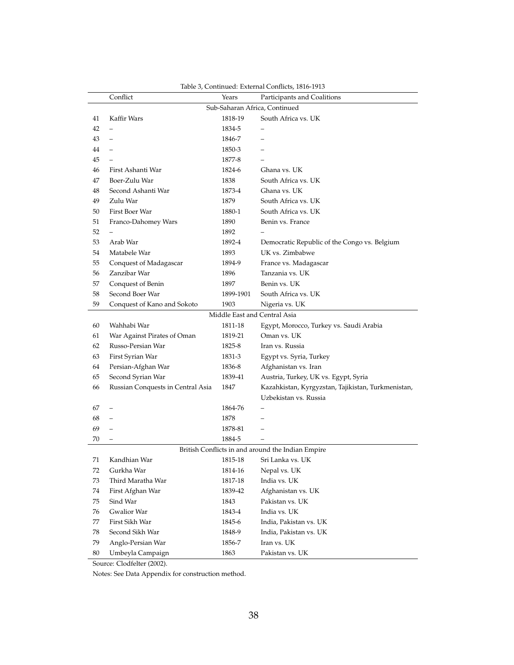|    | Conflict                          | Years     | Participants and Coalitions                        |
|----|-----------------------------------|-----------|----------------------------------------------------|
|    |                                   |           | Sub-Saharan Africa, Continued                      |
| 41 | Kaffir Wars                       | 1818-19   | South Africa vs. UK                                |
| 42 |                                   | 1834-5    |                                                    |
| 43 |                                   | 1846-7    |                                                    |
| 44 |                                   | 1850-3    |                                                    |
| 45 |                                   | 1877-8    |                                                    |
| 46 | First Ashanti War                 | 1824-6    | Ghana vs. UK                                       |
| 47 | Boer-Zulu War                     | 1838      | South Africa vs. UK                                |
| 48 | Second Ashanti War                | 1873-4    | Ghana vs. UK                                       |
| 49 | Zulu War                          | 1879      | South Africa vs. UK                                |
| 50 | First Boer War                    | 1880-1    | South Africa vs. UK                                |
| 51 | Franco-Dahomey Wars               | 1890      | Benin vs. France                                   |
| 52 |                                   | 1892      |                                                    |
| 53 | Arab War                          | 1892-4    | Democratic Republic of the Congo vs. Belgium       |
| 54 | Matabele War                      | 1893      | UK vs. Zimbabwe                                    |
| 55 | Conquest of Madagascar            | 1894-9    | France vs. Madagascar                              |
| 56 | Zanzibar War                      | 1896      | Tanzania vs. UK                                    |
| 57 | Conquest of Benin                 | 1897      | Benin vs. UK                                       |
| 58 | Second Boer War                   | 1899-1901 | South Africa vs. UK                                |
| 59 | Conquest of Kano and Sokoto       | 1903      | Nigeria vs. UK                                     |
|    |                                   |           | Middle East and Central Asia                       |
| 60 | Wahhabi War                       | 1811-18   | Egypt, Morocco, Turkey vs. Saudi Arabia            |
| 61 | War Against Pirates of Oman       | 1819-21   | Oman vs. UK                                        |
| 62 | Russo-Persian War                 | 1825-8    | Iran vs. Russia                                    |
| 63 | First Syrian War                  | 1831-3    | Egypt vs. Syria, Turkey                            |
| 64 | Persian-Afghan War                | 1836-8    | Afghanistan vs. Iran                               |
| 65 | Second Syrian War                 | 1839-41   | Austria, Turkey, UK vs. Egypt, Syria               |
| 66 | Russian Conquests in Central Asia | 1847      | Kazahkistan, Kyrgyzstan, Tajikistan, Turkmenistan, |
|    |                                   |           | Uzbekistan vs. Russia                              |
| 67 |                                   | 1864-76   |                                                    |
| 68 |                                   | 1878      |                                                    |
| 69 |                                   | 1878-81   |                                                    |
| 70 | -                                 | 1884-5    |                                                    |
|    |                                   |           | British Conflicts in and around the Indian Empire  |
| 71 | Kandhian War                      | 1815-18   | Sri Lanka vs. UK                                   |
| 72 | Gurkha War                        | 1814-16   | Nepal vs. UK                                       |
| 73 | Third Maratha War                 | 1817-18   | India vs. UK                                       |
| 74 | First Afghan War                  | 1839-42   | Afghanistan vs. UK                                 |
| 75 | Sind War                          | 1843      | Pakistan vs. UK                                    |
| 76 | Gwalior War                       | 1843-4    | India vs. UK                                       |
| 77 | First Sikh War                    | 1845-6    | India, Pakistan vs. UK                             |
| 78 | Second Sikh War                   | 1848-9    | India, Pakistan vs. UK                             |
| 79 | Anglo-Persian War                 | 1856-7    | Iran vs. UK                                        |
| 80 | Umbeyla Campaign                  | 1863      | Pakistan vs. UK                                    |

Table 3, Continued: External Conflicts, 1816-1913

Source: Clodfelter (2002).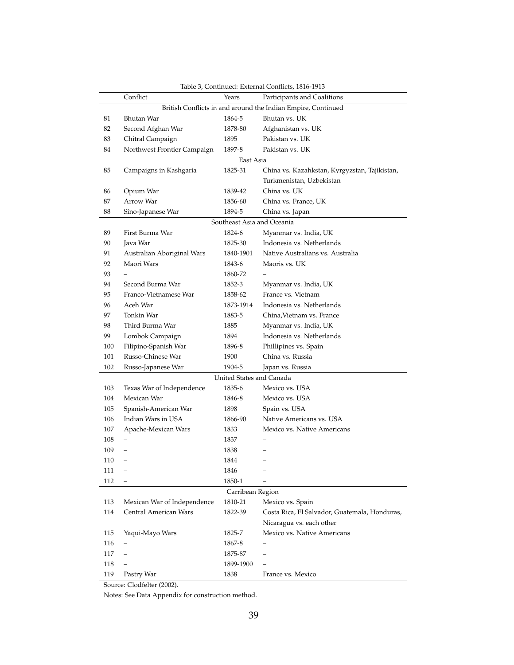|     |                                                              |                            | radie 5, Continueu. External Connicts, 1810-1913 |  |  |  |  |  |  |  |
|-----|--------------------------------------------------------------|----------------------------|--------------------------------------------------|--|--|--|--|--|--|--|
|     | Conflict                                                     | Years                      | Participants and Coalitions                      |  |  |  |  |  |  |  |
|     | British Conflicts in and around the Indian Empire, Continued |                            |                                                  |  |  |  |  |  |  |  |
| 81  | Bhutan War                                                   | 1864-5                     | Bhutan vs. UK                                    |  |  |  |  |  |  |  |
| 82  | Second Afghan War                                            | 1878-80                    | Afghanistan vs. UK                               |  |  |  |  |  |  |  |
| 83  | Chitral Campaign                                             | 1895                       | Pakistan vs. UK                                  |  |  |  |  |  |  |  |
| 84  | Northwest Frontier Campaign                                  | 1897-8                     | Pakistan vs. UK                                  |  |  |  |  |  |  |  |
|     | East Asia                                                    |                            |                                                  |  |  |  |  |  |  |  |
| 85  | Campaigns in Kashgaria                                       | 1825-31                    | China vs. Kazahkstan, Kyrgyzstan, Tajikistan,    |  |  |  |  |  |  |  |
|     |                                                              |                            | Turkmenistan, Uzbekistan                         |  |  |  |  |  |  |  |
| 86  | Opium War                                                    | 1839-42                    | China vs. UK                                     |  |  |  |  |  |  |  |
| 87  | Arrow War                                                    | 1856-60                    | China vs. France, UK                             |  |  |  |  |  |  |  |
| 88  | Sino-Japanese War                                            | 1894-5                     | China vs. Japan                                  |  |  |  |  |  |  |  |
|     |                                                              | Southeast Asia and Oceania |                                                  |  |  |  |  |  |  |  |
|     | First Burma War                                              | 1824-6                     |                                                  |  |  |  |  |  |  |  |
| 89  |                                                              |                            | Myanmar vs. India, UK                            |  |  |  |  |  |  |  |
| 90  | Java War                                                     | 1825-30                    | Indonesia vs. Netherlands                        |  |  |  |  |  |  |  |
| 91  | Australian Aboriginal Wars                                   | 1840-1901                  | Native Australians vs. Australia                 |  |  |  |  |  |  |  |
| 92  | Maori Wars                                                   | 1843-6                     | Maoris vs. UK                                    |  |  |  |  |  |  |  |
| 93  |                                                              | 1860-72                    |                                                  |  |  |  |  |  |  |  |
| 94  | Second Burma War                                             | 1852-3                     | Myanmar vs. India, UK                            |  |  |  |  |  |  |  |
| 95  | Franco-Vietnamese War                                        | 1858-62                    | France vs. Vietnam                               |  |  |  |  |  |  |  |
| 96  | Aceh War                                                     | 1873-1914                  | Indonesia vs. Netherlands                        |  |  |  |  |  |  |  |
| 97  | Tonkin War                                                   | 1883-5                     | China, Vietnam vs. France                        |  |  |  |  |  |  |  |
| 98  | Third Burma War                                              | 1885                       | Myanmar vs. India, UK                            |  |  |  |  |  |  |  |
| 99  | Lombok Campaign                                              | 1894                       | Indonesia vs. Netherlands                        |  |  |  |  |  |  |  |
| 100 | Filipino-Spanish War                                         | 1896-8                     | Phillipines vs. Spain                            |  |  |  |  |  |  |  |
| 101 | Russo-Chinese War                                            | 1900                       | China vs. Russia                                 |  |  |  |  |  |  |  |
| 102 | Russo-Japanese War                                           | 1904-5                     | Japan vs. Russia                                 |  |  |  |  |  |  |  |
|     |                                                              | United States and Canada   |                                                  |  |  |  |  |  |  |  |
| 103 | Texas War of Independence                                    | 1835-6                     | Mexico vs. USA                                   |  |  |  |  |  |  |  |
| 104 | Mexican War                                                  | 1846-8                     | Mexico vs. USA                                   |  |  |  |  |  |  |  |
| 105 | Spanish-American War                                         | 1898                       | Spain vs. USA                                    |  |  |  |  |  |  |  |
| 106 | Indian Wars in USA                                           | 1866-90                    | Native Americans vs. USA                         |  |  |  |  |  |  |  |
| 107 | Apache-Mexican Wars                                          | 1833                       | Mexico vs. Native Americans                      |  |  |  |  |  |  |  |
| 108 | -                                                            | 1837                       |                                                  |  |  |  |  |  |  |  |
| 109 |                                                              | 1838                       |                                                  |  |  |  |  |  |  |  |
| 110 |                                                              | 1844                       |                                                  |  |  |  |  |  |  |  |
| 111 | -                                                            | 1846                       |                                                  |  |  |  |  |  |  |  |
| 112 |                                                              | 1850-1                     |                                                  |  |  |  |  |  |  |  |
|     |                                                              |                            |                                                  |  |  |  |  |  |  |  |
|     |                                                              | Carribean Region           |                                                  |  |  |  |  |  |  |  |
| 113 | Mexican War of Independence                                  | 1810-21                    | Mexico vs. Spain                                 |  |  |  |  |  |  |  |
| 114 | Central American Wars                                        | 1822-39                    | Costa Rica, El Salvador, Guatemala, Honduras,    |  |  |  |  |  |  |  |
|     |                                                              |                            | Nicaragua vs. each other                         |  |  |  |  |  |  |  |
| 115 | Yaqui-Mayo Wars                                              | 1825-7                     | Mexico vs. Native Americans                      |  |  |  |  |  |  |  |
| 116 |                                                              | 1867-8                     |                                                  |  |  |  |  |  |  |  |
| 117 | -                                                            | 1875-87                    |                                                  |  |  |  |  |  |  |  |
| 118 |                                                              | 1899-1900                  |                                                  |  |  |  |  |  |  |  |
| 119 | Pastry War                                                   | 1838                       | France vs. Mexico                                |  |  |  |  |  |  |  |

Table 3, Continued: External Conflicts, 1816-1913

Source: Clodfelter (2002).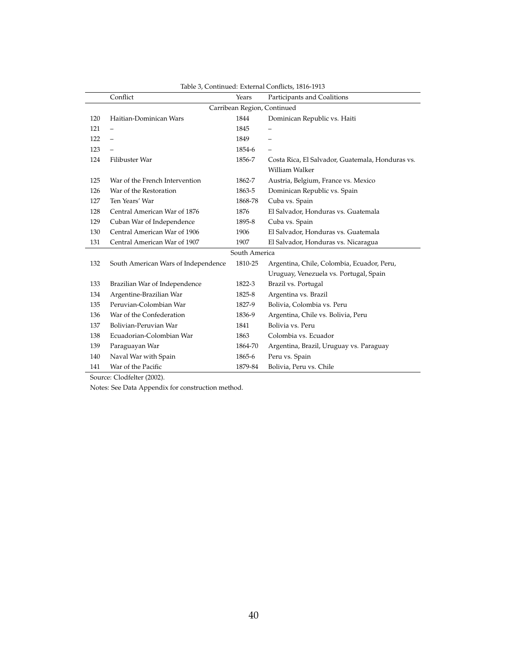|     | Conflict                            | Years         | Participants and Coalitions                      |  |  |  |  |  |  |
|-----|-------------------------------------|---------------|--------------------------------------------------|--|--|--|--|--|--|
|     | Carribean Region, Continued         |               |                                                  |  |  |  |  |  |  |
| 120 | Haitian-Dominican Wars              | 1844          | Dominican Republic vs. Haiti                     |  |  |  |  |  |  |
| 121 |                                     | 1845          |                                                  |  |  |  |  |  |  |
| 122 |                                     | 1849          |                                                  |  |  |  |  |  |  |
| 123 |                                     | 1854-6        |                                                  |  |  |  |  |  |  |
| 124 | Filibuster War                      | 1856-7        | Costa Rica, El Salvador, Guatemala, Honduras vs. |  |  |  |  |  |  |
|     |                                     |               | William Walker                                   |  |  |  |  |  |  |
| 125 | War of the French Intervention      | 1862-7        | Austria, Belgium, France vs. Mexico              |  |  |  |  |  |  |
| 126 | War of the Restoration              | 1863-5        | Dominican Republic vs. Spain                     |  |  |  |  |  |  |
| 127 | Ten Years' War                      | 1868-78       | Cuba vs. Spain                                   |  |  |  |  |  |  |
| 128 | Central American War of 1876        | 1876          | El Salvador, Honduras vs. Guatemala              |  |  |  |  |  |  |
| 129 | Cuban War of Independence           | 1895-8        | Cuba vs. Spain                                   |  |  |  |  |  |  |
| 130 | Central American War of 1906        | 1906          | El Salvador, Honduras vs. Guatemala              |  |  |  |  |  |  |
| 131 | Central American War of 1907        | 1907          | El Salvador, Honduras vs. Nicaragua              |  |  |  |  |  |  |
|     |                                     | South America |                                                  |  |  |  |  |  |  |
| 132 | South American Wars of Independence | 1810-25       | Argentina, Chile, Colombia, Ecuador, Peru,       |  |  |  |  |  |  |
|     |                                     |               | Uruguay, Venezuela vs. Portugal, Spain           |  |  |  |  |  |  |
| 133 | Brazilian War of Independence       | 1822-3        | Brazil vs. Portugal                              |  |  |  |  |  |  |
| 134 | Argentine-Brazilian War             | 1825-8        | Argentina vs. Brazil                             |  |  |  |  |  |  |
| 135 | Peruvian-Colombian War              | 1827-9        | Bolivia, Colombia vs. Peru                       |  |  |  |  |  |  |
| 136 | War of the Confederation            | 1836-9        | Argentina, Chile vs. Bolivia, Peru               |  |  |  |  |  |  |
| 137 | Bolivian-Peruvian War               | 1841          | Bolivia vs. Peru                                 |  |  |  |  |  |  |
| 138 | Ecuadorian-Colombian War            | 1863          | Colombia vs. Ecuador                             |  |  |  |  |  |  |
| 139 | Paraguayan War                      | 1864-70       | Argentina, Brazil, Uruguay vs. Paraguay          |  |  |  |  |  |  |
| 140 | Naval War with Spain                | 1865-6        | Peru vs. Spain                                   |  |  |  |  |  |  |
| 141 | War of the Pacific                  | 1879-84       | Bolivia, Peru vs. Chile                          |  |  |  |  |  |  |

Table 3, Continued: External Conflicts, 1816-1913

Source: Clodfelter (2002).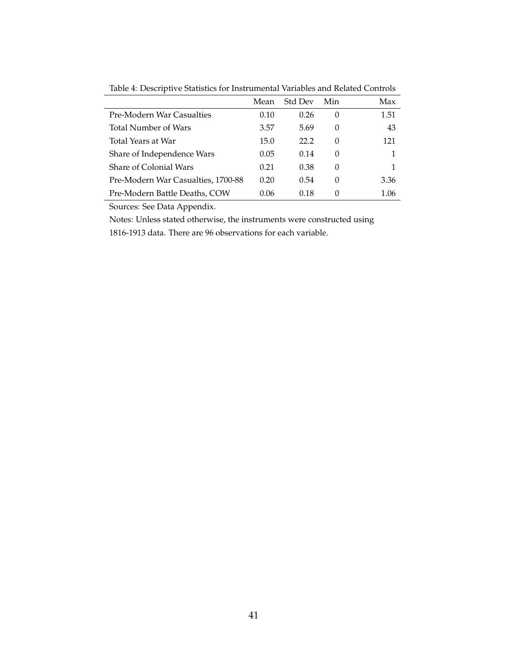|                                    | Mean | Std Dev | Min      | Max  |
|------------------------------------|------|---------|----------|------|
| Pre-Modern War Casualties          | 0.10 | 0.26    | $\theta$ | 1.51 |
| <b>Total Number of Wars</b>        | 3.57 | 5.69    | $\theta$ | 43   |
| Total Years at War                 | 15.0 | 22.2    | $\theta$ | 121  |
| Share of Independence Wars         | 0.05 | 0.14    | $\theta$ |      |
| Share of Colonial Wars             | 0.21 | 0.38    | $\theta$ |      |
| Pre-Modern War Casualties, 1700-88 | 0.20 | 0.54    | $\theta$ | 3.36 |
| Pre-Modern Battle Deaths, COW      | 0.06 | 0.18    | $\theta$ | 1 06 |

Table 4: Descriptive Statistics for Instrumental Variables and Related Controls

Sources: See Data Appendix.

Notes: Unless stated otherwise, the instruments were constructed using 1816-1913 data. There are 96 observations for each variable.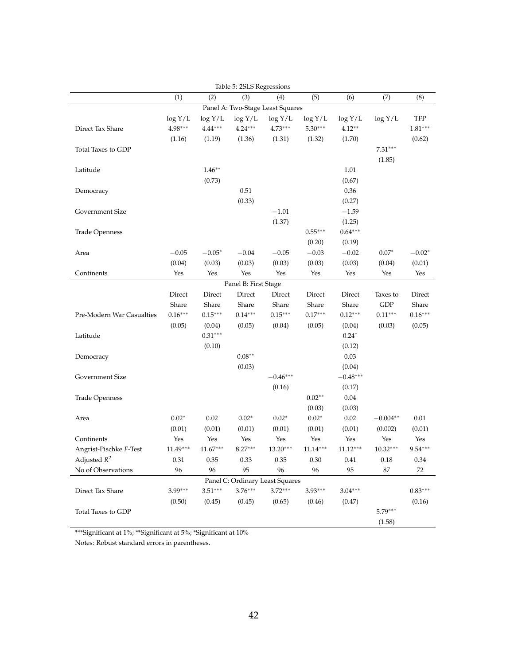|                           |            |            | Table 5: 2SLS Regressions        |            |            |            |            |           |
|---------------------------|------------|------------|----------------------------------|------------|------------|------------|------------|-----------|
|                           | (1)        | (2)        | (3)                              | (4)        | (5)        | (6)        | (7)        | (8)       |
|                           |            |            | Panel A: Two-Stage Least Squares |            |            |            |            |           |
|                           | $\log Y/L$ | log Y/L    | log Y/L                          | log Y/L    | $\log Y/L$ | $\log Y/L$ | log Y/L    | TFP       |
| Direct Tax Share          | $4.98***$  | $4.44***$  | $4.24***$                        | $4.73***$  | $5.30***$  | $4.12**$   |            | $1.81***$ |
|                           | (1.16)     | (1.19)     | (1.36)                           | (1.31)     | (1.32)     | (1.70)     |            | (0.62)    |
| <b>Total Taxes to GDP</b> |            |            |                                  |            |            |            | $7.31***$  |           |
|                           |            |            |                                  |            |            |            | (1.85)     |           |
| Latitude                  |            | $1.46**$   |                                  |            |            | 1.01       |            |           |
|                           |            | (0.73)     |                                  |            |            | (0.67)     |            |           |
| Democracy                 |            |            | 0.51                             |            |            | 0.36       |            |           |
|                           |            |            | (0.33)                           |            |            | (0.27)     |            |           |
| Government Size           |            |            |                                  | $-1.01$    |            | $-1.59$    |            |           |
|                           |            |            |                                  | (1.37)     |            | (1.25)     |            |           |
| <b>Trade Openness</b>     |            |            |                                  |            | $0.55***$  | $0.64***$  |            |           |
|                           |            |            |                                  |            | (0.20)     | (0.19)     |            |           |
| Area                      | $-0.05$    | $-0.05*$   | $-0.04$                          | $-0.05$    | $-0.03$    | $-0.02$    | $0.07*$    | $-0.02*$  |
|                           | (0.04)     | (0.03)     | (0.03)                           | (0.03)     | (0.03)     | (0.03)     | (0.04)     | (0.01)    |
| Continents                | Yes        | Yes        | Yes                              | Yes        | Yes        | Yes        | Yes        | Yes       |
|                           |            |            | Panel B: First Stage             |            |            |            |            |           |
|                           | Direct     | Direct     | Direct                           | Direct     | Direct     | Direct     | Taxes to   | Direct    |
|                           | Share      | Share      | Share                            | Share      | Share      | Share      | GDP        | Share     |
| Pre-Modern War Casualties | $0.16***$  | $0.15***$  | $0.14***$                        | $0.15***$  | $0.17***$  | $0.12***$  | $0.11***$  | $0.16***$ |
|                           | (0.05)     | (0.04)     | (0.05)                           | (0.04)     | (0.05)     | (0.04)     | (0.03)     | (0.05)    |
| Latitude                  |            | $0.31***$  |                                  |            |            | $0.24*$    |            |           |
|                           |            | (0.10)     |                                  |            |            | (0.12)     |            |           |
| Democracy                 |            |            | $0.08**$                         |            |            | 0.03       |            |           |
|                           |            |            | (0.03)                           |            |            | (0.04)     |            |           |
| Government Size           |            |            |                                  | $-0.46***$ |            | $-0.48***$ |            |           |
|                           |            |            |                                  | (0.16)     |            | (0.17)     |            |           |
| <b>Trade Openness</b>     |            |            |                                  |            | $0.02**$   | $0.04\,$   |            |           |
|                           |            |            |                                  |            | (0.03)     | (0.03)     |            |           |
| Area                      | $0.02*$    | 0.02       | $0.02*$                          | $0.02*$    | $0.02*$    | 0.02       | $-0.004**$ | 0.01      |
|                           | (0.01)     | (0.01)     | (0.01)                           | (0.01)     | (0.01)     | (0.01)     | (0.002)    | (0.01)    |
| Continents                | Yes        | Yes        | Yes                              | Yes        | Yes        | Yes        | Yes        | Yes       |
| Angrist-Pischke F-Test    | $11.49***$ | $11.67***$ | $8.27***$                        | $13.20***$ | $11.14***$ | $11.12***$ | $10.32***$ | 9.54***   |
| Adjusted $R^2$            | 0.31       | 0.35       | 0.33                             | 0.35       | 0.30       | 0.41       | $0.18\,$   | 0.34      |
| No of Observations        | 96         | 96         | 95                               | 96         | 96         | 95         | 87         | 72        |
|                           |            |            | Panel C: Ordinary Least Squares  |            |            |            |            |           |
| Direct Tax Share          | $3.99***$  | $3.51***$  | $3.76***$                        | $3.72***$  | $3.93***$  | $3.04***$  |            | $0.83***$ |
|                           | (0.50)     | (0.45)     | (0.45)                           | (0.65)     | (0.46)     | (0.47)     |            | (0.16)    |
| <b>Total Taxes to GDP</b> |            |            |                                  |            |            |            | $5.79***$  |           |
|                           |            |            |                                  |            |            |            | (1.58)     |           |

\*\*\*Significant at 1%; \*\*Significant at 5%; \*Significant at 10%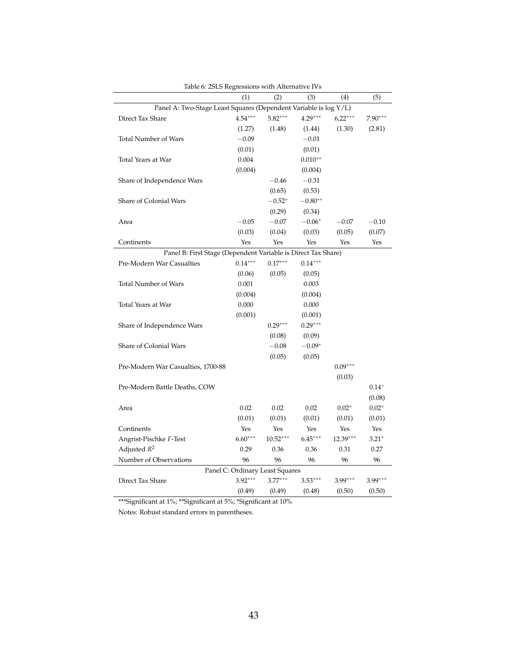| Table 6. 25L5 Reglessions with Alternative TVS                   |           |                                              |           |            |           |
|------------------------------------------------------------------|-----------|----------------------------------------------|-----------|------------|-----------|
|                                                                  | (1)       | (2)                                          | (3)       | (4)        | (5)       |
| Panel A: Two-Stage Least Squares (Dependent Variable is log Y/L) |           |                                              |           |            |           |
| Direct Tax Share                                                 | $4.54***$ | $5.82***$                                    | $4.29***$ | $6.22***$  | $7.90***$ |
|                                                                  | (1.27)    | (1.48)                                       | (1.44)    | (1.30)     | (2.81)    |
| Total Number of Wars                                             | $-0.09$   |                                              | $-0.01$   |            |           |
|                                                                  | (0.01)    |                                              | (0.01)    |            |           |
| Total Years at War                                               | 0.004     |                                              | $0.010**$ |            |           |
|                                                                  | (0.004)   |                                              | (0.004)   |            |           |
| Share of Independence Wars                                       |           | $-0.46$                                      | $-0.31$   |            |           |
|                                                                  |           | (0.65)                                       | (0.53)    |            |           |
| Share of Colonial Wars                                           |           | $-0.52*$                                     | $-0.80**$ |            |           |
|                                                                  |           | (0.29)                                       | (0.34)    |            |           |
| Area                                                             | $-0.05$   | $-0.07$                                      | $-0.06*$  | $-0.07$    | $-0.10$   |
|                                                                  | (0.03)    | (0.04)                                       | (0.03)    | (0.05)     | (0.07)    |
| Continents                                                       | Yes       | Yes                                          | Yes       | Yes        | Yes       |
| Panel B: First Stage (Dependent Variable is Direct Tax Share)    |           |                                              |           |            |           |
| Pre-Modern War Casualties                                        | $0.14***$ | $0.17***$                                    | $0.14***$ |            |           |
|                                                                  | (0.06)    | (0.05)                                       | (0.05)    |            |           |
| <b>Total Number of Wars</b>                                      | 0.001     |                                              | 0.003     |            |           |
|                                                                  | (0.004)   |                                              | (0.004)   |            |           |
| Total Years at War                                               | 0.000     |                                              | 0.000     |            |           |
|                                                                  | (0.001)   |                                              | (0.001)   |            |           |
| Share of Independence Wars                                       |           | $0.29***$                                    | $0.29***$ |            |           |
|                                                                  |           | (0.08)                                       | (0.09)    |            |           |
| Share of Colonial Wars                                           |           | $-0.08$                                      | $-0.09*$  |            |           |
|                                                                  |           | (0.05)                                       | (0.05)    |            |           |
| Pre-Modern War Casualties, 1700-88                               |           |                                              |           | $0.09***$  |           |
|                                                                  |           |                                              |           | (0.03)     |           |
| Pre-Modern Battle Deaths, COW                                    |           |                                              |           |            | $0.14*$   |
|                                                                  |           |                                              |           |            | (0.08)    |
| Area                                                             | 0.02      | 0.02                                         | 0.02      | $0.02*$    | $0.02*$   |
|                                                                  | (0.01)    | (0.01)                                       | (0.01)    | (0.01)     | (0.01)    |
| Continents                                                       | Yes       | Yes                                          | Yes       | Yes        | Yes       |
| Angrist-Pischke F-Test                                           | $6.60***$ | $10.52***$                                   | $6.45***$ | $12.39***$ | $3.21*$   |
| Adjusted $R^2$                                                   | 0.29      | 0.36                                         | 0.36      | 0.31       | 0.27      |
| Number of Observations                                           | 96        | 96                                           | 96        | 96         | 96        |
|                                                                  |           |                                              |           |            |           |
| Direct Tax Share                                                 | $3.92***$ | Panel C: Ordinary Least Squares<br>$3.77***$ | $3.53***$ | $3.99***$  | $3.99***$ |
|                                                                  |           |                                              |           |            |           |
|                                                                  | (0.49)    | (0.49)                                       | (0.48)    | (0.50)     | (0.50)    |

Table 6: 2SLS Regressions with Alternative IVs

\*\*\*Significant at 1%; \*\*Significant at 5%; \*Significant at 10%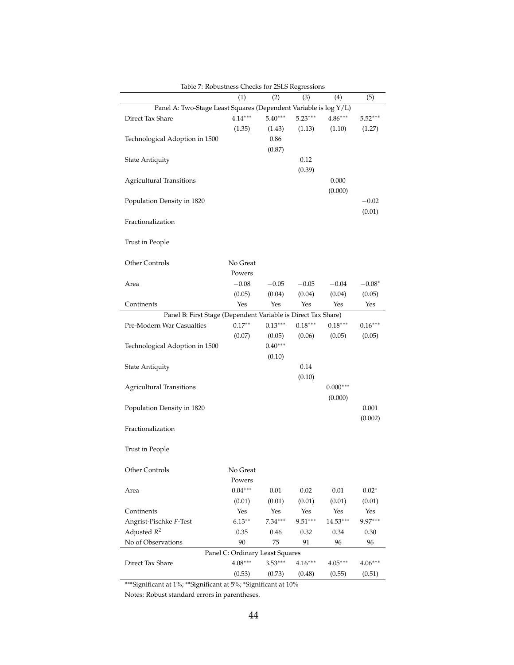| Table 7. NODUSTIESS CHECKS TOT 25L5 NEGLESSIONS                  | (1)                             | (2)       | (3)       | (4)        | (5)       |
|------------------------------------------------------------------|---------------------------------|-----------|-----------|------------|-----------|
| Panel A: Two-Stage Least Squares (Dependent Variable is log Y/L) |                                 |           |           |            |           |
| Direct Tax Share                                                 | $4.14***$                       | $5.40***$ | $5.23***$ | $4.86***$  | $5.52***$ |
|                                                                  | (1.35)                          | (1.43)    | (1.13)    | (1.10)     | (1.27)    |
| Technological Adoption in 1500                                   |                                 | 0.86      |           |            |           |
|                                                                  |                                 | (0.87)    |           |            |           |
| <b>State Antiquity</b>                                           |                                 |           | 0.12      |            |           |
|                                                                  |                                 |           | (0.39)    |            |           |
| <b>Agricultural Transitions</b>                                  |                                 |           |           | 0.000      |           |
|                                                                  |                                 |           |           | (0.000)    |           |
| Population Density in 1820                                       |                                 |           |           |            | $-0.02$   |
|                                                                  |                                 |           |           |            | (0.01)    |
| Fractionalization                                                |                                 |           |           |            |           |
|                                                                  |                                 |           |           |            |           |
| Trust in People                                                  |                                 |           |           |            |           |
|                                                                  |                                 |           |           |            |           |
| Other Controls                                                   | No Great                        |           |           |            |           |
|                                                                  | Powers                          |           |           |            |           |
| Area                                                             | $-0.08$                         | $-0.05$   | $-0.05$   | $-0.04$    | $-0.08*$  |
|                                                                  | (0.05)                          | (0.04)    | (0.04)    | (0.04)     | (0.05)    |
| Continents                                                       | Yes                             | Yes       | Yes       | Yes        | Yes       |
| Panel B: First Stage (Dependent Variable is Direct Tax Share)    |                                 |           |           |            |           |
| Pre-Modern War Casualties                                        | $0.17**$                        | $0.13***$ | $0.18***$ | $0.18***$  | $0.16***$ |
|                                                                  | (0.07)                          | (0.05)    | (0.06)    | (0.05)     | (0.05)    |
| Technological Adoption in 1500                                   |                                 | $0.40***$ |           |            |           |
|                                                                  |                                 | (0.10)    |           |            |           |
| <b>State Antiquity</b>                                           |                                 |           | 0.14      |            |           |
|                                                                  |                                 |           | (0.10)    |            |           |
| Agricultural Transitions                                         |                                 |           |           | $0.000***$ |           |
|                                                                  |                                 |           |           | (0.000)    |           |
| Population Density in 1820                                       |                                 |           |           |            | 0.001     |
|                                                                  |                                 |           |           |            | (0.002)   |
| Fractionalization                                                |                                 |           |           |            |           |
|                                                                  |                                 |           |           |            |           |
| Trust in People                                                  |                                 |           |           |            |           |
|                                                                  |                                 |           |           |            |           |
| Other Controls                                                   | No Great                        |           |           |            |           |
|                                                                  | Powers                          |           |           |            |           |
| Area                                                             | $0.04***$                       | $0.01\,$  | 0.02      | 0.01       | $0.02*$   |
|                                                                  | (0.01)                          | (0.01)    | (0.01)    | (0.01)     | (0.01)    |
| Continents                                                       | Yes                             | Yes       | Yes       | Yes        | Yes       |
| Angrist-Pischke F-Test                                           | $6.13**$                        | $7.34***$ | $9.51***$ | $14.53***$ | 9.97***   |
| Adjusted $R^2$                                                   | 0.35                            | 0.46      | 0.32      | 0.34       | 0.30      |
| No of Observations                                               | 90                              | 75        | 91        | 96         | 96        |
|                                                                  | Panel C: Ordinary Least Squares |           |           |            |           |
| Direct Tax Share                                                 | $4.08***$                       | $3.53***$ | $4.16***$ | $4.05***$  | $4.06***$ |
|                                                                  | (0.53)                          | (0.73)    | (0.48)    | (0.55)     | (0.51)    |

Table 7: Robustness Checks for 2SLS Regressions

\*\*\*Significant at 1%; \*\*Significant at 5%; \*Significant at 10%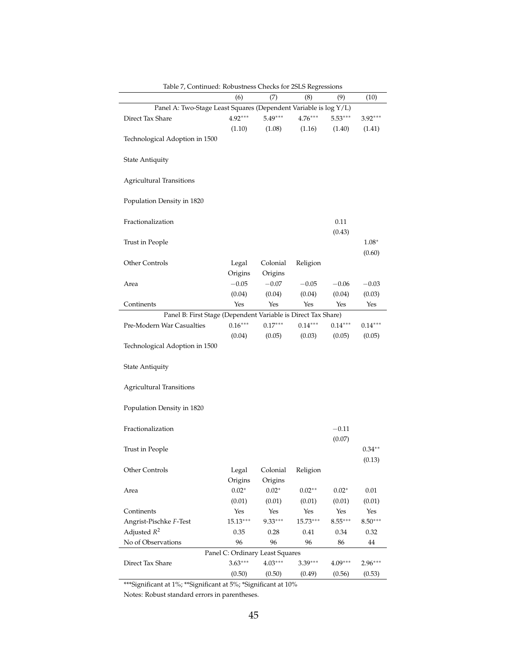| Table 7, Continued. Robustriess Criecks for 25L5 Regressions     | (6)        | (7)                             | (8)        | (9)            | (10)      |
|------------------------------------------------------------------|------------|---------------------------------|------------|----------------|-----------|
| Panel A: Two-Stage Least Squares (Dependent Variable is log Y/L) |            |                                 |            |                |           |
| Direct Tax Share                                                 | $4.92***$  | $5.49***$                       | $4.76***$  | $5.53***$      | $3.92***$ |
|                                                                  | (1.10)     | (1.08)                          | (1.16)     | (1.40)         | (1.41)    |
| Technological Adoption in 1500                                   |            |                                 |            |                |           |
| <b>State Antiquity</b>                                           |            |                                 |            |                |           |
| Agricultural Transitions                                         |            |                                 |            |                |           |
| Population Density in 1820                                       |            |                                 |            |                |           |
| Fractionalization                                                |            |                                 |            | 0.11<br>(0.43) |           |
| Trust in People                                                  |            |                                 |            |                | $1.08*$   |
|                                                                  |            |                                 |            |                | (0.60)    |
| Other Controls                                                   | Legal      | Colonial                        | Religion   |                |           |
|                                                                  | Origins    | Origins                         |            |                |           |
| Area                                                             | $-0.05$    | $-0.07$                         | $-0.05$    | $-0.06$        | $-0.03$   |
|                                                                  | (0.04)     | (0.04)                          | (0.04)     | (0.04)         | (0.03)    |
| Continents                                                       | Yes        | Yes                             | Yes        | Yes            | Yes       |
| Panel B: First Stage (Dependent Variable is Direct Tax Share)    |            |                                 |            |                |           |
| Pre-Modern War Casualties                                        | $0.16***$  | $0.17***$                       | $0.14***$  | $0.14***$      | $0.14***$ |
| Technological Adoption in 1500                                   | (0.04)     | (0.05)                          | (0.03)     | (0.05)         | (0.05)    |
| <b>State Antiquity</b>                                           |            |                                 |            |                |           |
| Agricultural Transitions                                         |            |                                 |            |                |           |
| Population Density in 1820                                       |            |                                 |            |                |           |
| Fractionalization                                                |            |                                 |            | $-0.11$        |           |
|                                                                  |            |                                 |            | (0.07)         |           |
| Trust in People                                                  |            |                                 |            |                | $0.34**$  |
|                                                                  |            |                                 |            |                | (0.13)    |
| Other Controls                                                   | Legal      | Colonial                        | Religion   |                |           |
|                                                                  | Origins    | Origins                         |            |                |           |
| Area                                                             | $0.02*$    | $0.02*$                         | $0.02**$   | $0.02*$        | 0.01      |
|                                                                  | (0.01)     | (0.01)                          | (0.01)     | (0.01)         | (0.01)    |
| Continents                                                       | Yes        | Yes                             | Yes        | Yes            | Yes       |
| Angrist-Pischke F-Test                                           | $15.13***$ | $9.33***$                       | $15.73***$ | $8.55***$      | $8.50***$ |
| Adjusted $R^2$                                                   | 0.35       | 0.28                            | 0.41       | 0.34           | 0.32      |
| No of Observations                                               | 96         | 96                              | 96         | 86             | 44        |
|                                                                  |            | Panel C: Ordinary Least Squares |            |                |           |
| Direct Tax Share                                                 | $3.63***$  | $4.03***$                       | $3.39***$  | 4.09***        | $2.96***$ |
|                                                                  | (0.50)     | (0.50)                          | (0.49)     | (0.56)         | (0.53)    |

Table 7, Continued: Robustness Checks for 2SLS Regressions

\*\*\*Significant at 1%; \*\*Significant at 5%; \*Significant at 10%